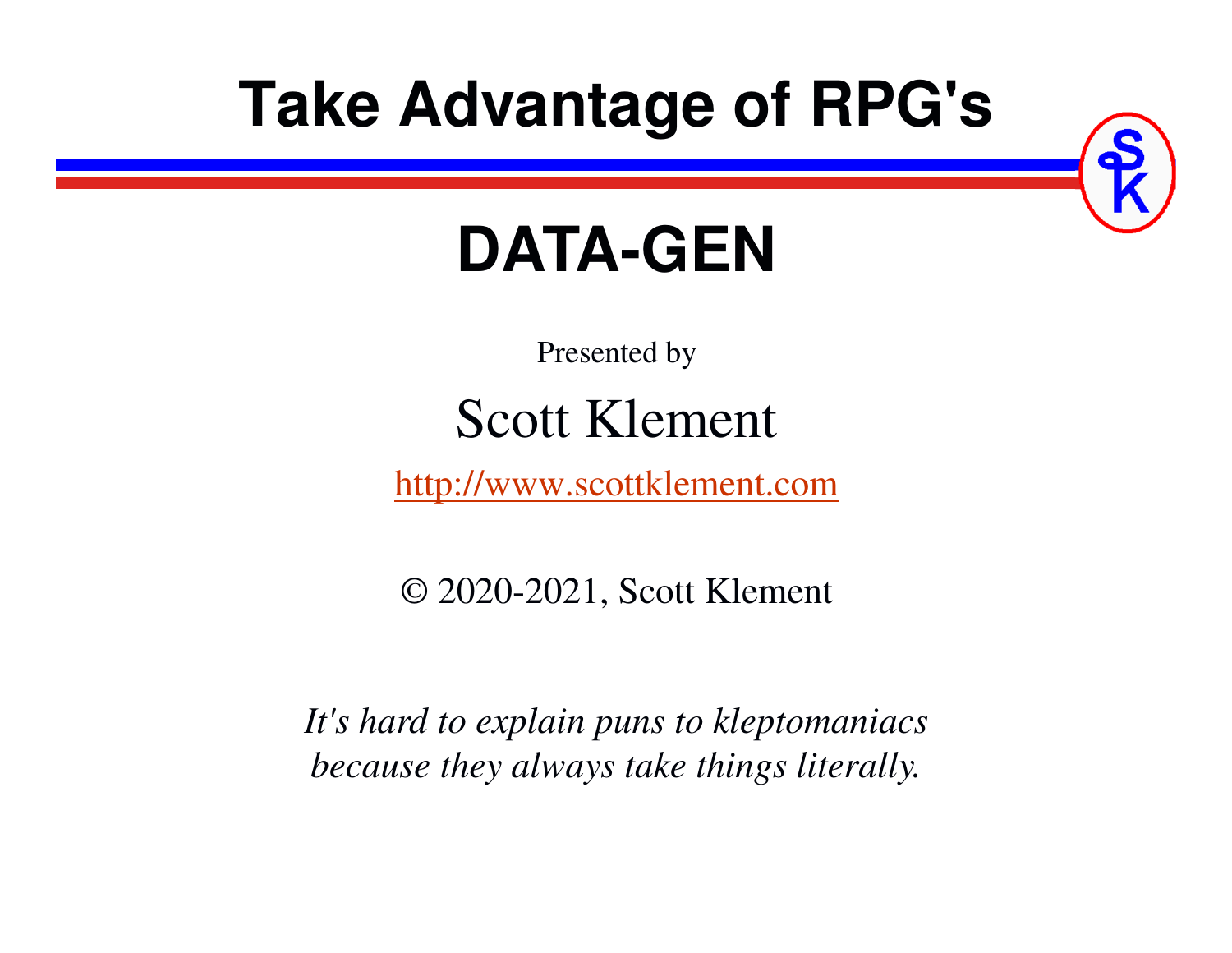# **Take Advantage of RPG's**



# **DATA-GEN**

Presented by

# Scott Klement

http://www.scottklement.com

© 2020-2021, Scott Klement

*It's hard to explain puns to kleptomaniacsbecause they always take things literally.*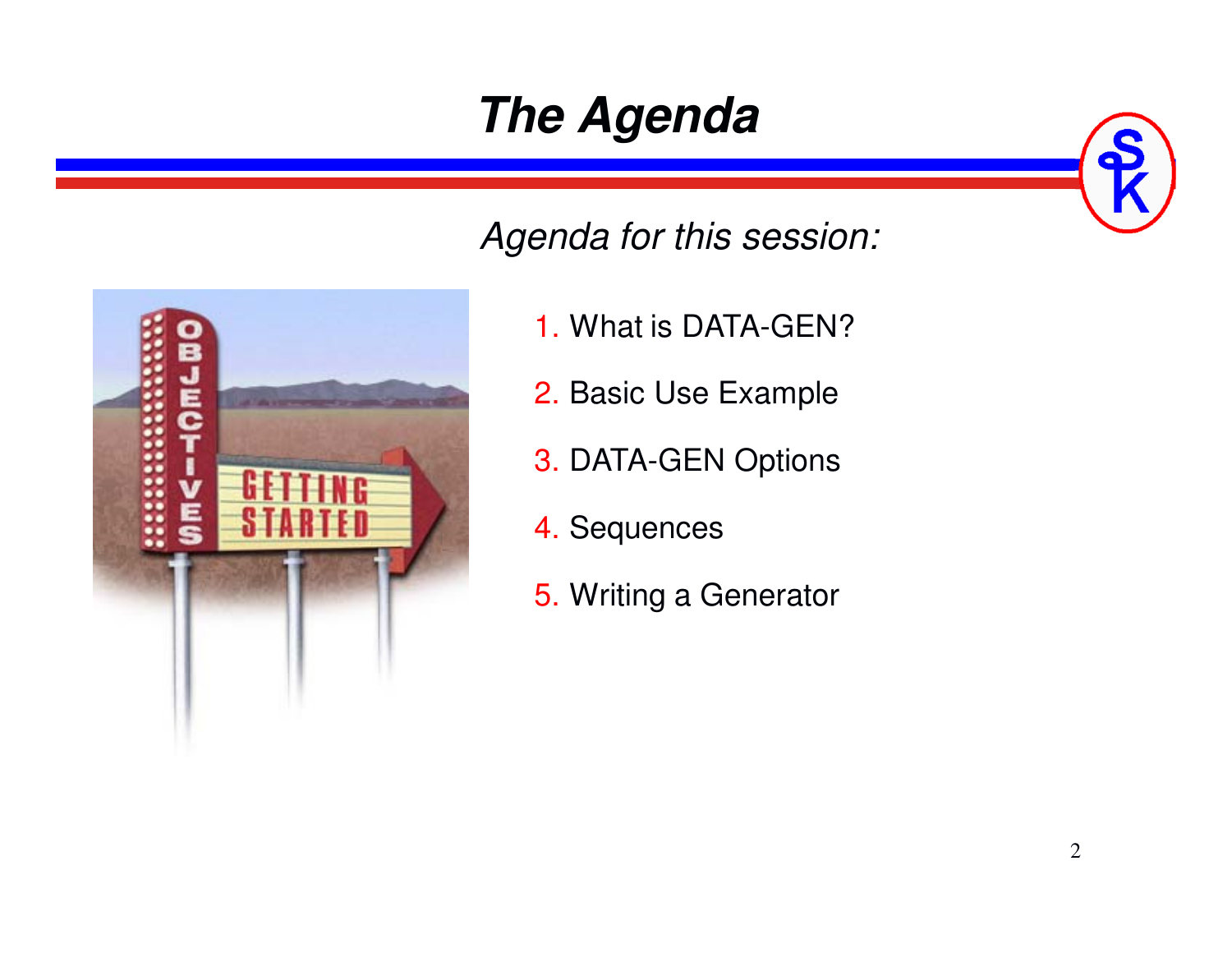# **The Agenda**



- *Agenda for this session:*
	- 1. What is DATA-GEN?
	- 2. Basic Use Example
	- 3. DATA-GEN Options
	- 4. Sequences
	- 5. Writing a Generator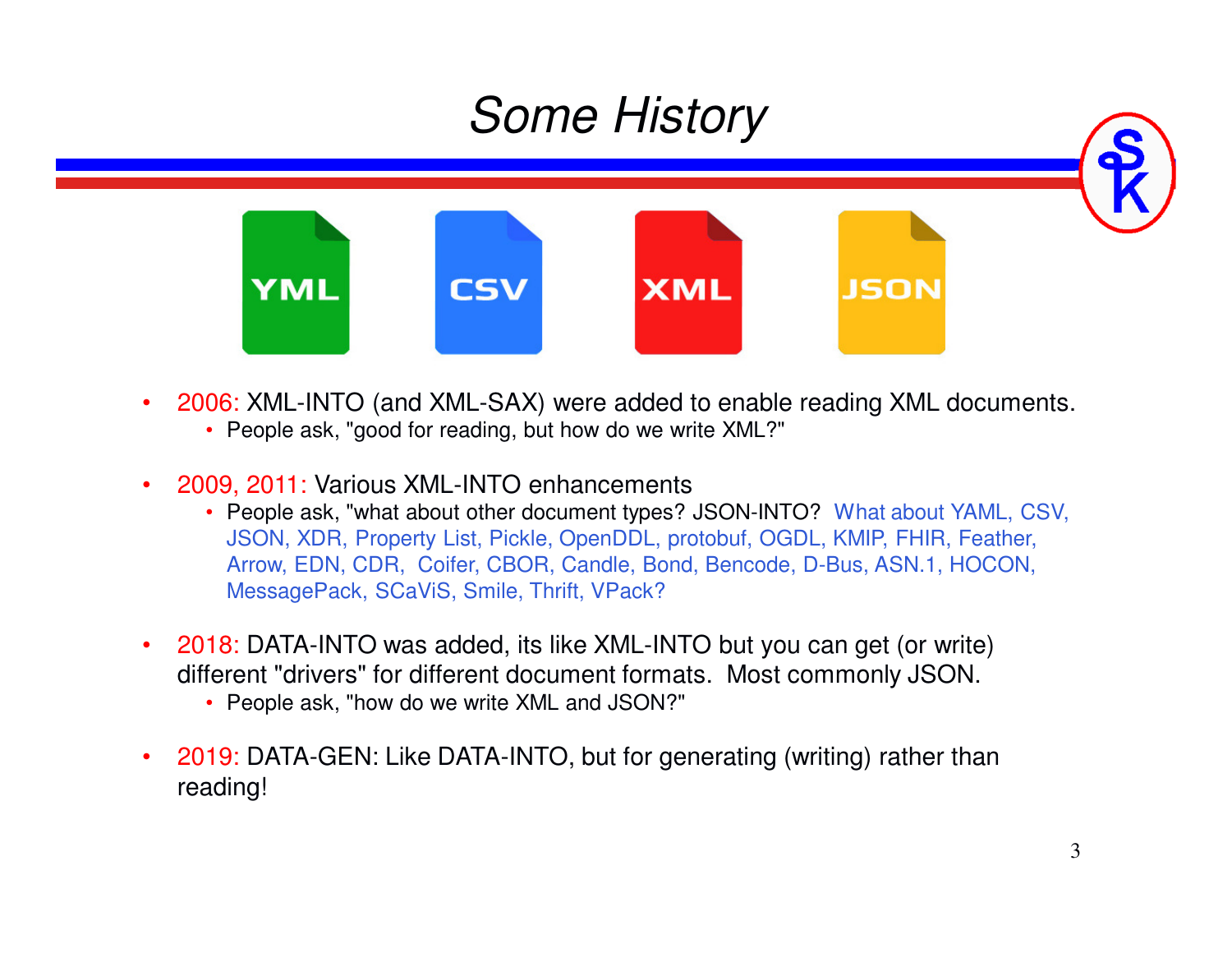

- • 2006: XML-INTO (and XML-SAX) were added to enable reading XML documents.
	- People ask, "good for reading, but how do we write XML?"
- • 2009, 2011: Various XML-INTO enhancements
	- People ask, "what about other document types? JSON-INTO? What about YAML, CSV, JSON, XDR, Property List, Pickle, OpenDDL, protobuf, OGDL, KMIP, FHIR, Feather, Arrow, EDN, CDR, Coifer, CBOR, Candle, Bond, Bencode, D-Bus, ASN.1, HOCON, MessagePack, SCaViS, Smile, Thrift, VPack?
- • 2018: DATA-INTO was added, its like XML-INTO but you can get (or write) different "drivers" for different document formats. Most commonly JSON.
	- People ask, "how do we write XML and JSON?"
- • 2019: DATA-GEN: Like DATA-INTO, but for generating (writing) rather than reading!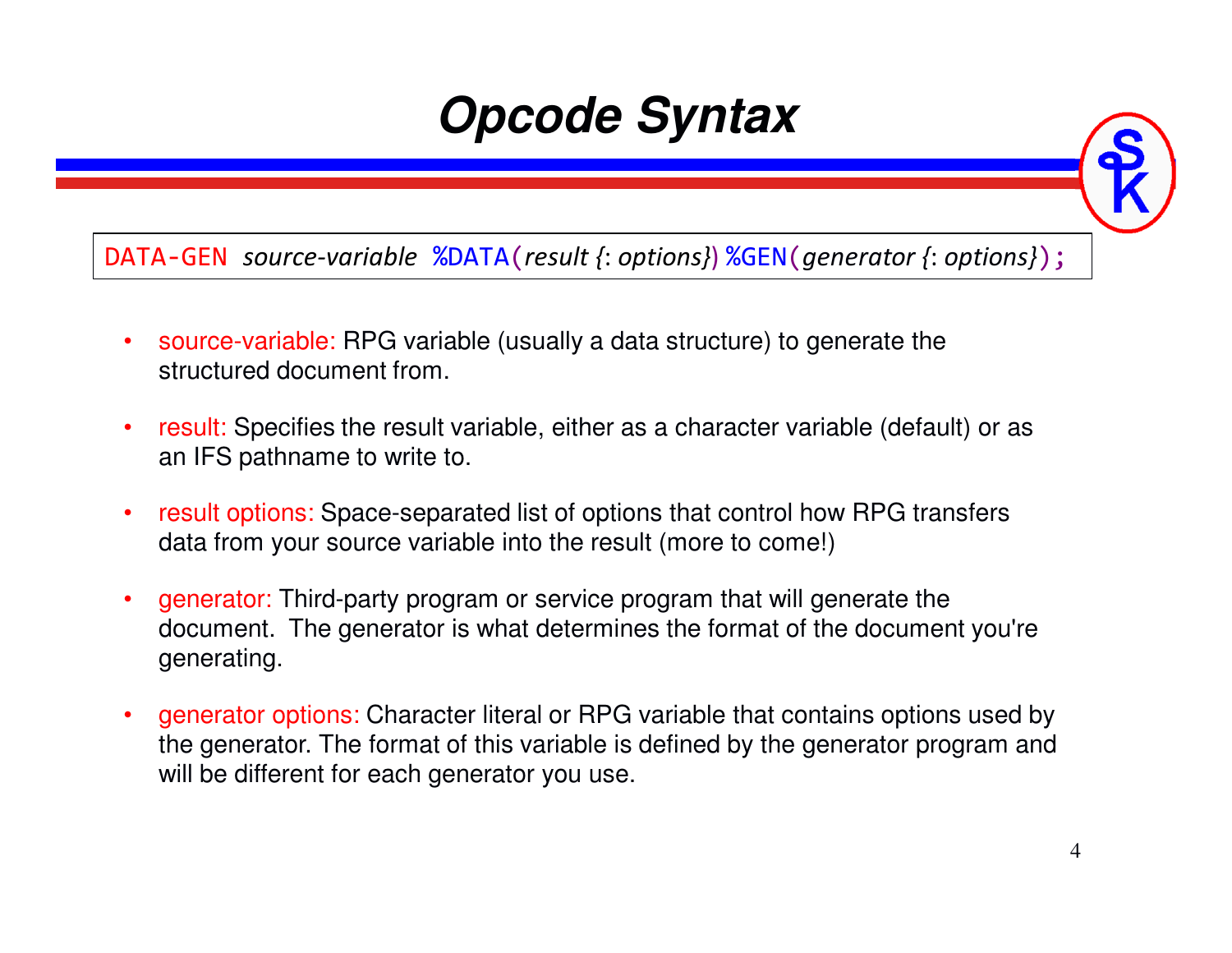### **Opcode Syntax**

DATA-GEN *source-variable* %DATA(*result {*: *options}*) %GEN(*generator {*: *options}*);

- • source-variable: RPG variable (usually a data structure) to generate the structured document from.
- • result: Specifies the result variable, either as a character variable (default) or as an IFS pathname to write to.
- • result options: Space-separated list of options that control how RPG transfers data from your source variable into the result (more to come!)
- • generator: Third-party program or service program that will generate the document. The generator is what determines the format of the document you're generating.
- • generator options: Character literal or RPG variable that contains options used by the generator. The format of this variable is defined by the generator program and will be different for each generator you use.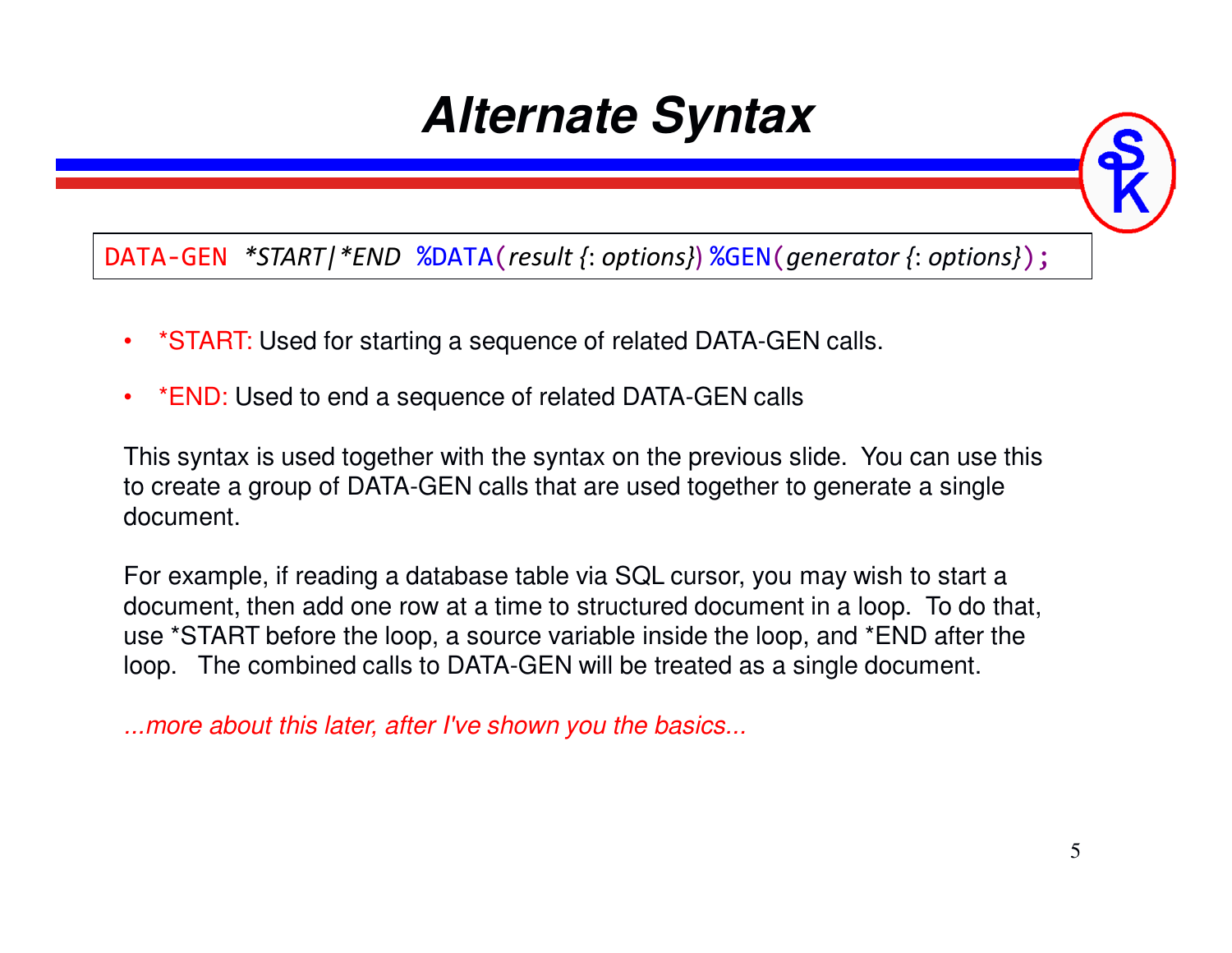### **Alternate Syntax**

DATA-GEN *\*START|\*END* %DATA(*result {*: *options}*) %GEN(*generator {*: *options}*);

- •\*START: Used for starting a sequence of related DATA-GEN calls.
- •\*END: Used to end a sequence of related DATA-GEN calls

This syntax is used together with the syntax on the previous slide. You can use this to create a group of DATA-GEN calls that are used together to generate a single document.

For example, if reading a database table via SQL cursor, you may wish to start a document, then add one row at a time to structured document in a loop. To do that, use \*START before the loop, a source variable inside the loop, and \*END after the loop. The combined calls to DATA-GEN will be treated as a single document.

*...more about this later, after I've shown you the basics...*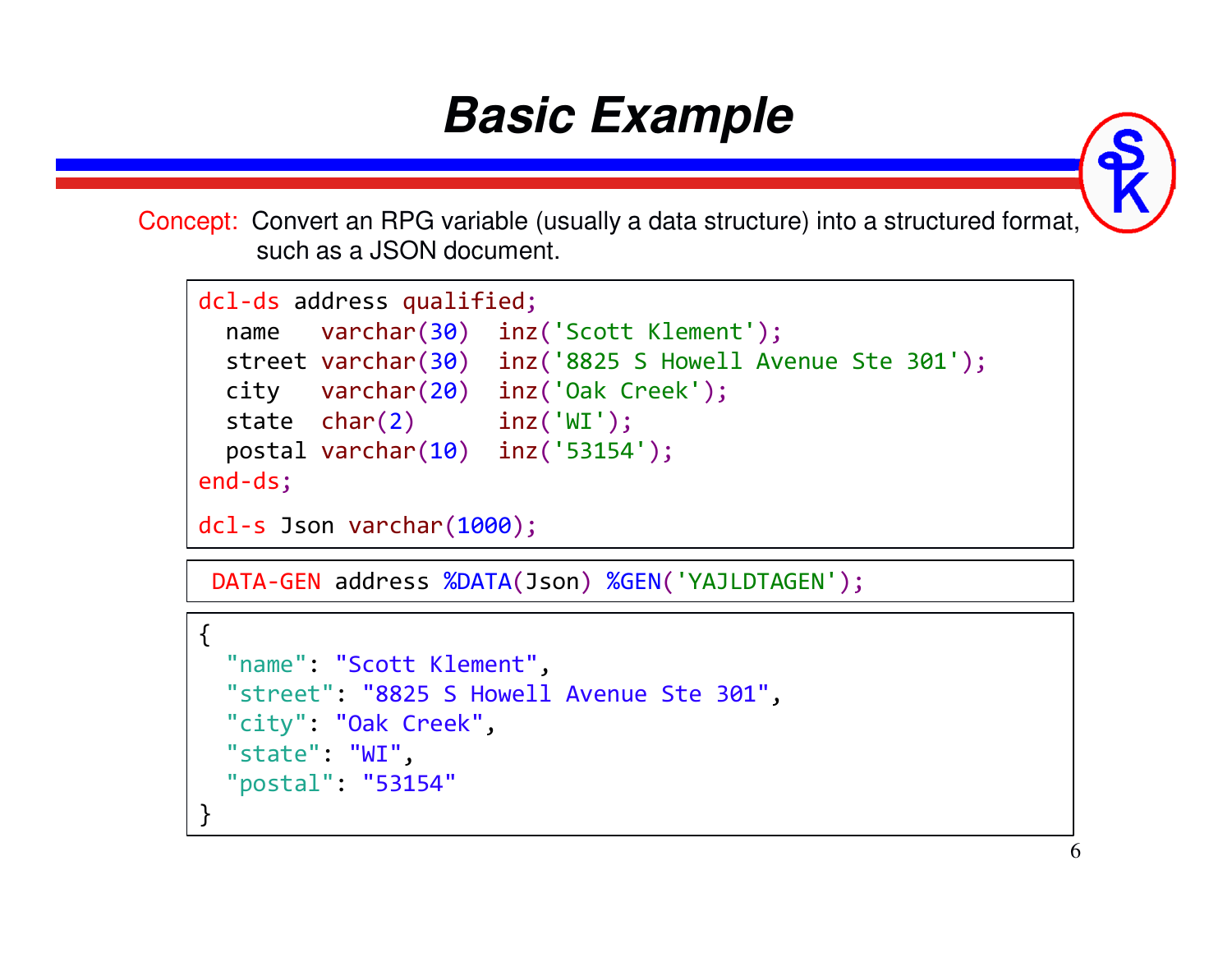### **Basic Example**

Concept: Convert an RPG variable (usually a data structure) into a structured format, such as a JSON document.

```
dcl-ds address qualified;
  name varchar(30) inz('Scott Klement');
  street varchar(30) inz('8825 S Howell Avenue Ste 301');
  city varchar(20) inz('Oak Creek');
  state char(2) inz('WI');
  postal varchar(10) inz('53154');
end-ds;dcl-s Json varchar(1000);
```
DATA-GEN address %DATA(Json) %GEN('YAJLDTAGEN');

```
\{"name": "Scott Klement",
"street": "8825 S Howell Avenue Ste 301","city": "Oak Creek","state": "WI",
"postal": "53154"}
```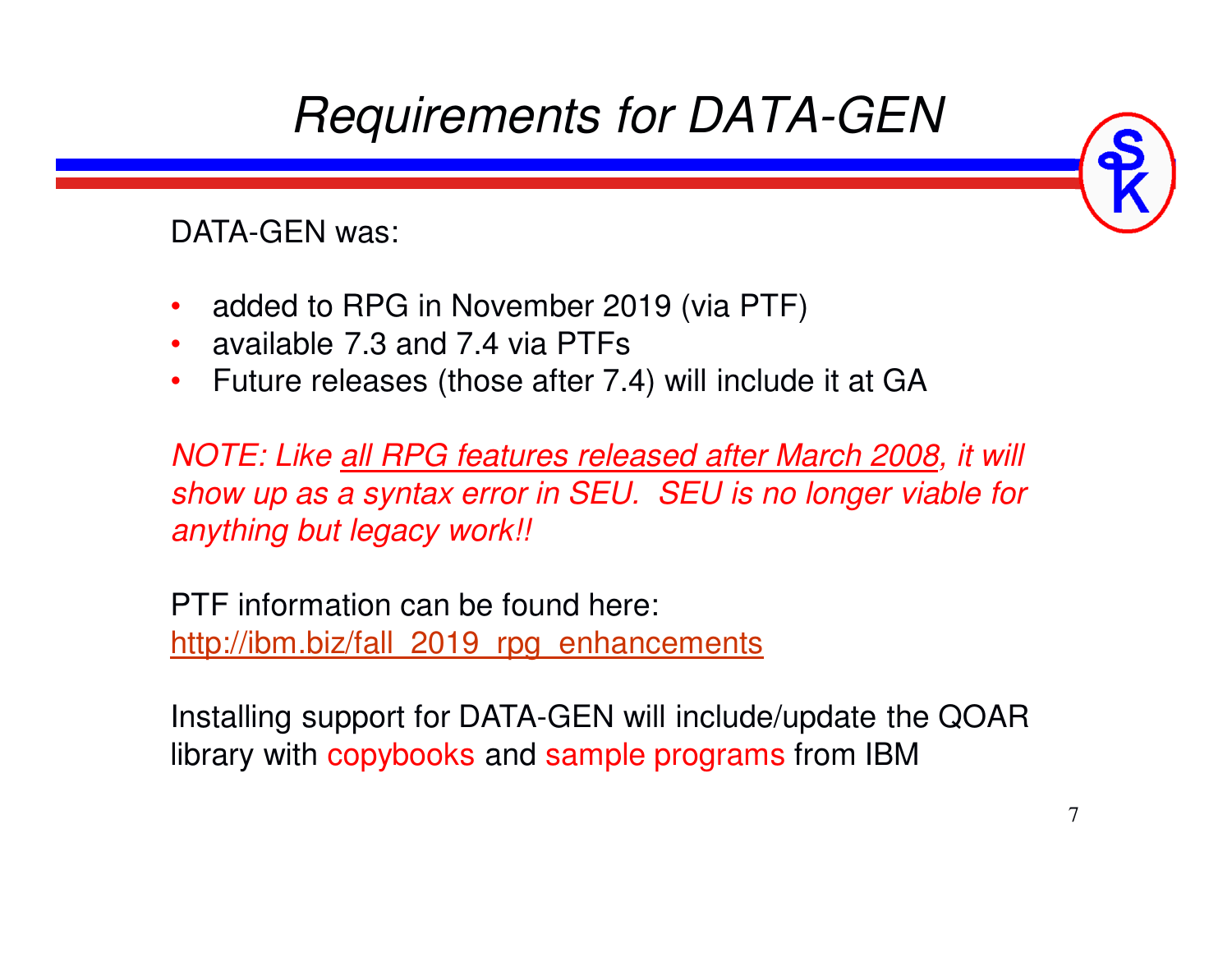

DATA-GEN was:

- •added to RPG in November 2019 (via PTF)
- •available 7.3 and 7.4 via PTFs
- Future releases (those after 7.4) will include it at GA•

*NOTE: Like all RPG features released after March 2008, it will show up as a syntax error in SEU. SEU is no longer viable for anything but legacy work!!* 

PTF information can be found here:http://ibm.biz/fall 2019 rpg\_enhancements

Installing support for DATA-GEN will include/update the QOAR library with copybooks and sample programs from IBM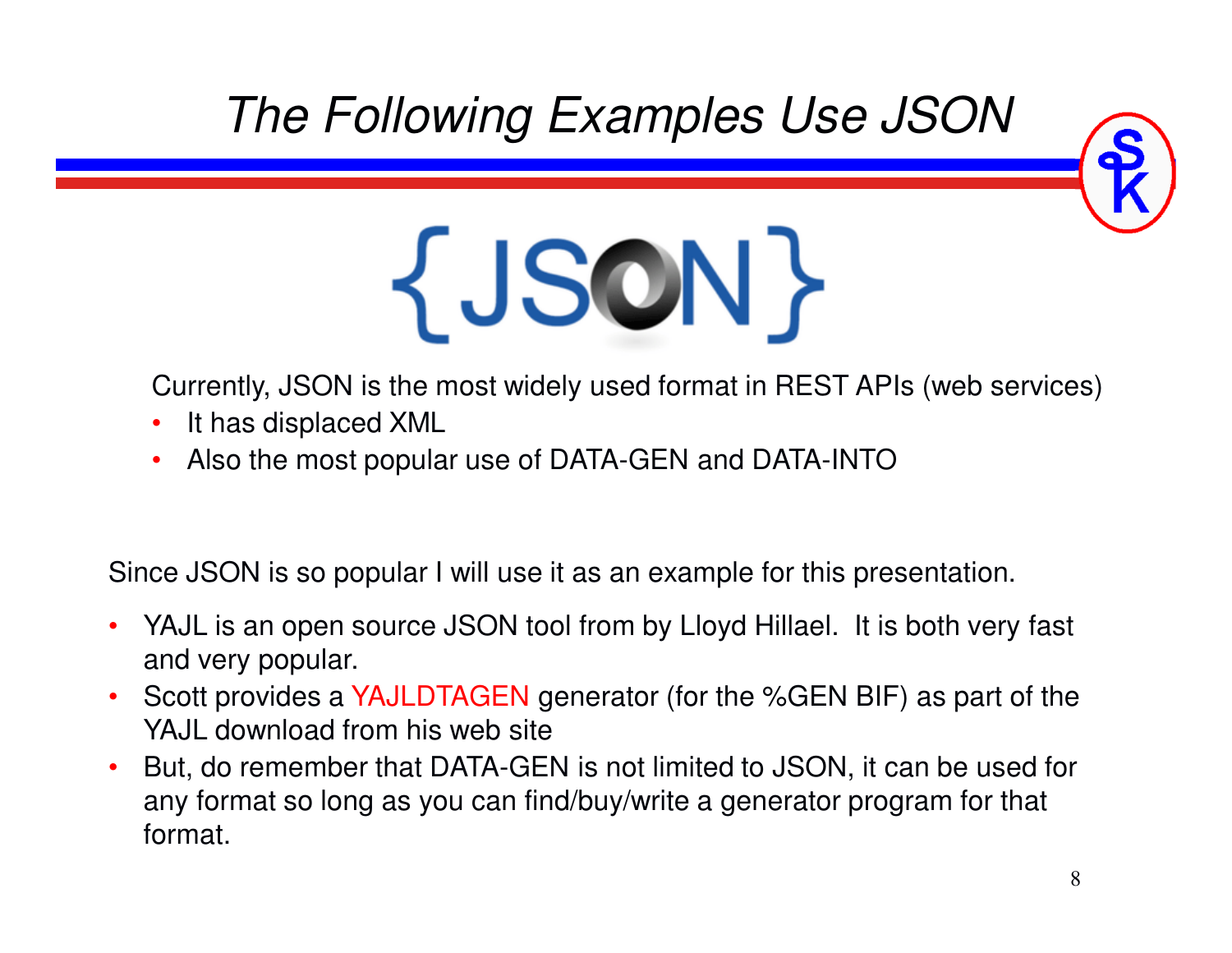

*The Following Examples Use JSON*

# {JSCN}

Currently, JSON is the most widely used format in REST APIs (web services)

- •It has displaced XML
- Also the most popular use of DATA-GEN and DATA-INTO•

Since JSON is so popular I will use it as an example for this presentation.

- • YAJL is an open source JSON tool from by Lloyd Hillael. It is both very fast and very popular.
- •• Scott provides a YAJLDTAGEN generator (for the %GEN BIF) as part of the YAJL download from his web site
- But, do remember that DATA-GEN is not limited to JSON, it can be used for •any format so long as you can find/buy/write a generator program for that format.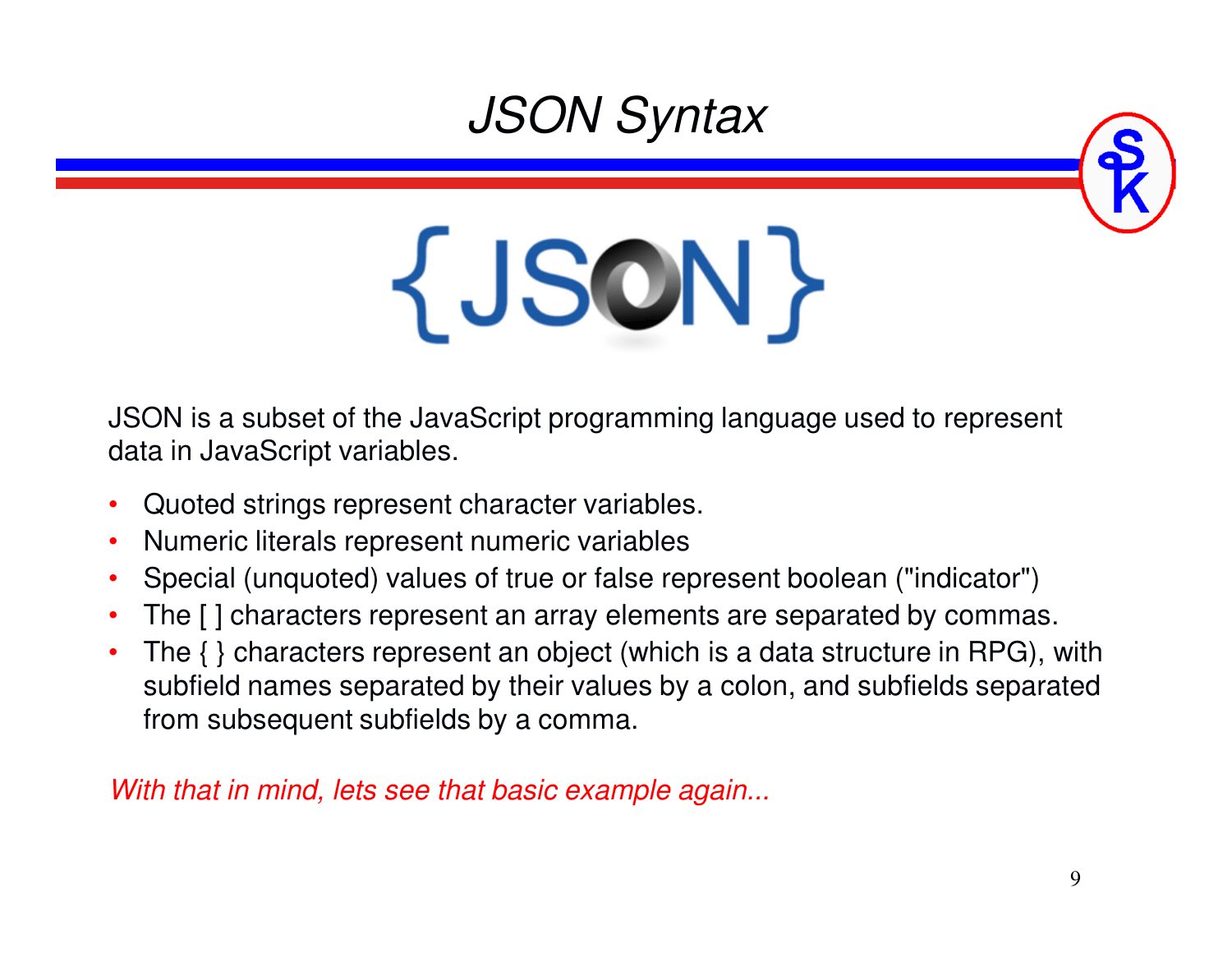### *JSON Syntax*



# {JSON}

JSON is a subset of the JavaScript programming language used to represent data in JavaScript variables.

- •Quoted strings represent character variables.
- •Numeric literals represent numeric variables
- Special (unquoted) values of true or false represent boolean ("indicator") •
- •The [ ] characters represent an array elements are separated by commas.
- • The { } characters represent an object (which is a data structure in RPG), with subfield names separated by their values by a colon, and subfields separated from subsequent subfields by a comma.

*With that in mind, lets see that basic example again...*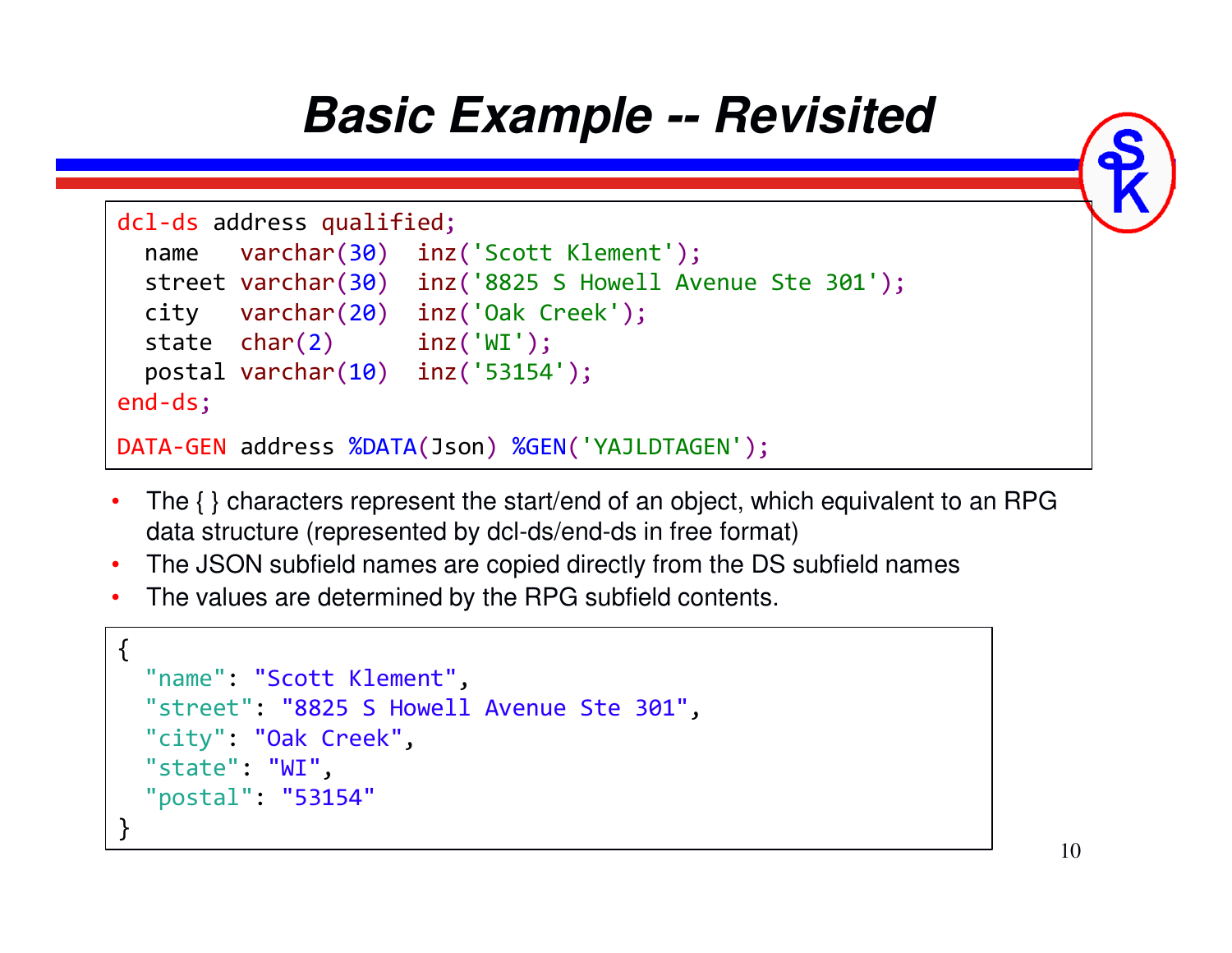### **Basic Example -- Revisited**



- The { } characters represent the start/end of an object, which equivalent to an RPG data structure (represented by dcl-ds/end-ds in free format)
- $\bullet$ The JSON subfield names are copied directly from the DS subfield names
- The values are determined by the RPG subfield contents.

```
{"name": "Scott Klement",
"street": "8825 S Howell Avenue Ste 301","city": "Oak Creek","state": "WI",
"postal": "53154"}<br>}
```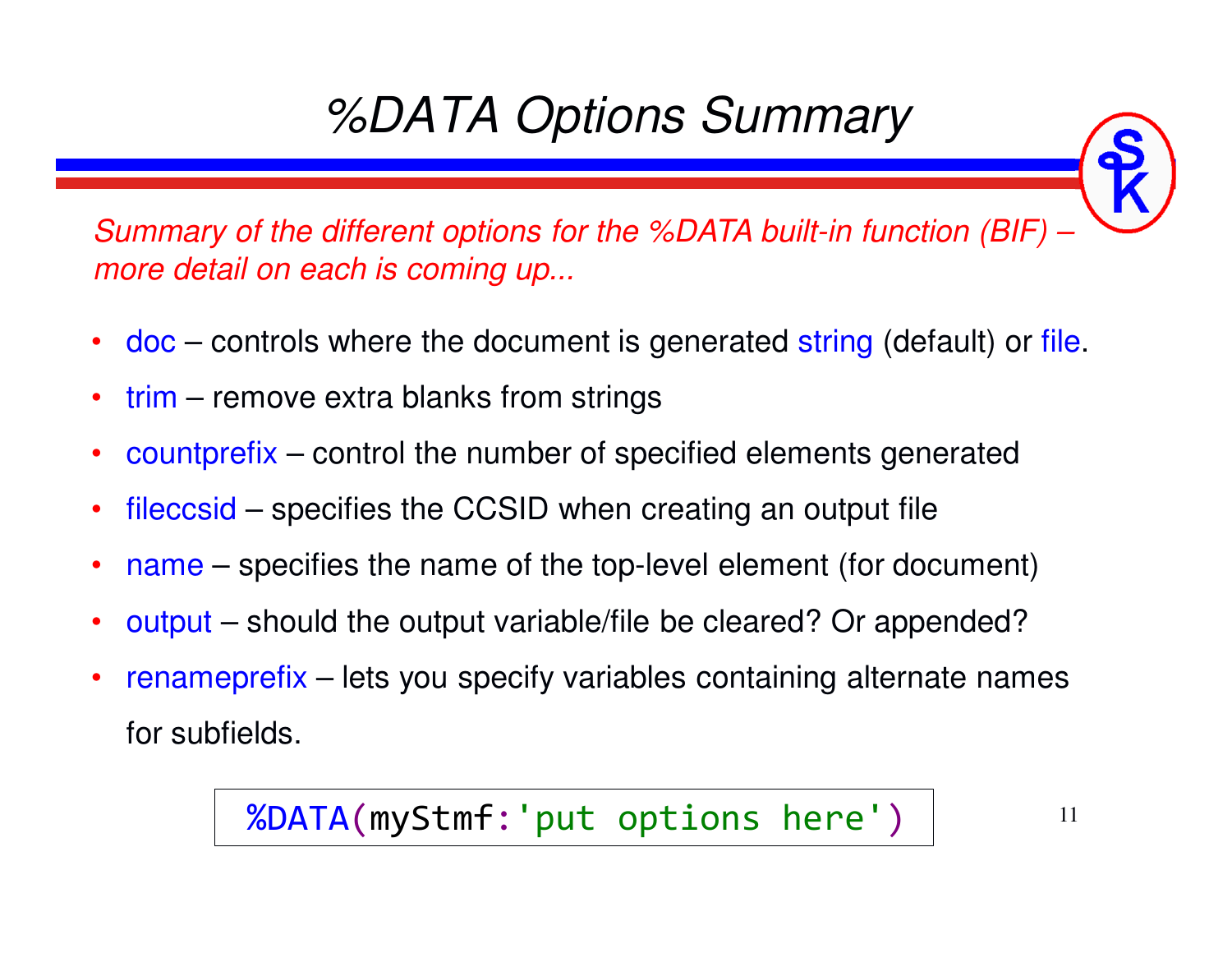# *%DATA Options Summary*

*Summary of the different options for the %DATA built-in function (BIF) –more detail on each is coming up...*

- •• doc – controls where the document is generated string (default) or file.
- •• trim – remove extra blanks from strings
- •• countprefix – control the number of specified elements generated
- •• fileccsid – specifies the CCSID when creating an output file
- •name – specifies the name of the top-level element (for document)
- •output – should the output variable/file be cleared? Or appended?
- •• renameprefix – lets you specify variables containing alternate names for subfields.

%DATA(myStmf:'put options here')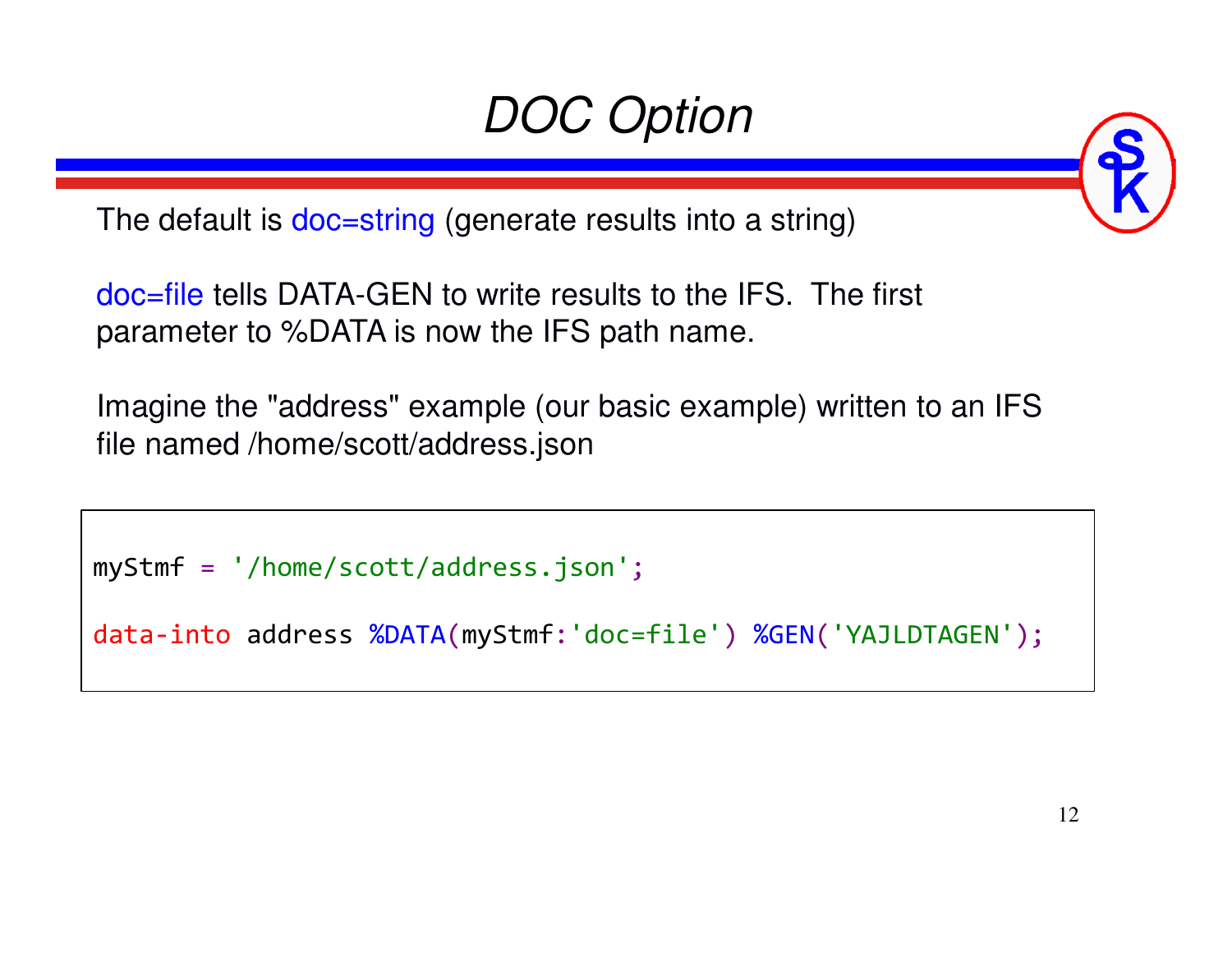# *DOC Option*

The default is doc=string (generate results into a string)

doc=file tells DATA-GEN to write results to the IFS. The first parameter to %DATA is now the IFS path name.

Imagine the "address" example (our basic example) written to an IFS file named /home/scott/address.json

myStmf <sup>=</sup> '/home/scott/address.json';

data-into address %DATA(myStmf:'doc=file') %GEN('YAJLDTAGEN');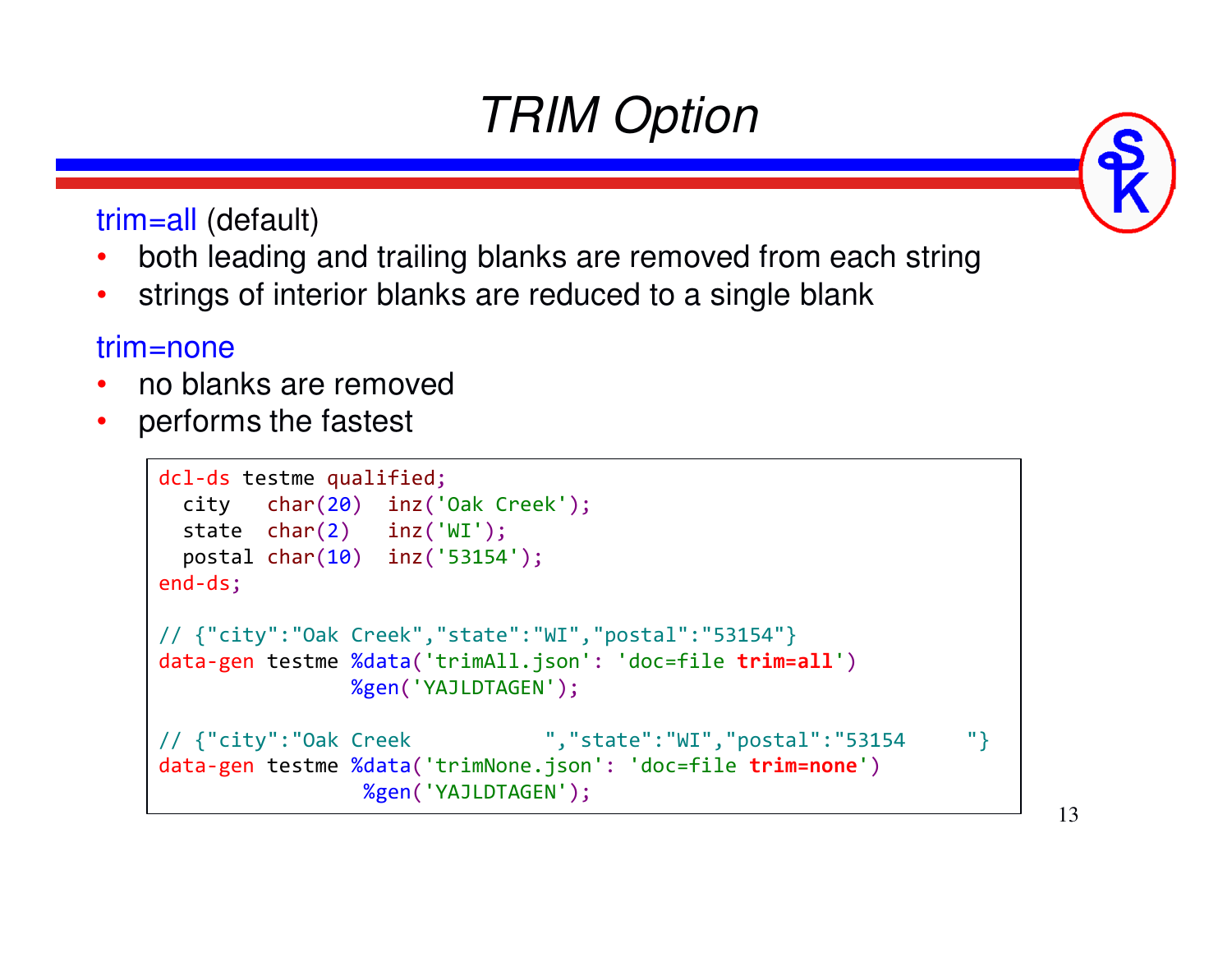# *TRIM Option*

trim=all (default)

- •both leading and trailing blanks are removed from each string
- •strings of interior blanks are reduced to a single blank

#### trim=none

- no blanks are removed •
- •performs the fastest

```
dcl-ds testme qualified;
  city char(20) inz('Oak Creek');
  state char(2) inz('WI');
  postal char(10) inz('53154');
end-ds;// {"city":"Oak Creek","state":"WI","postal":"53154"}
data-gen testme %data('trimAll.json': 'doc=file trim=all')
               %gen('YAJLDTAGEN');// {"city":"Oak Creek ","state":"WI","postal":"53154 "}data-gen testme %data('trimNone.json': 'doc=file trim=none')
                %gen('YAJLDTAGEN');
```
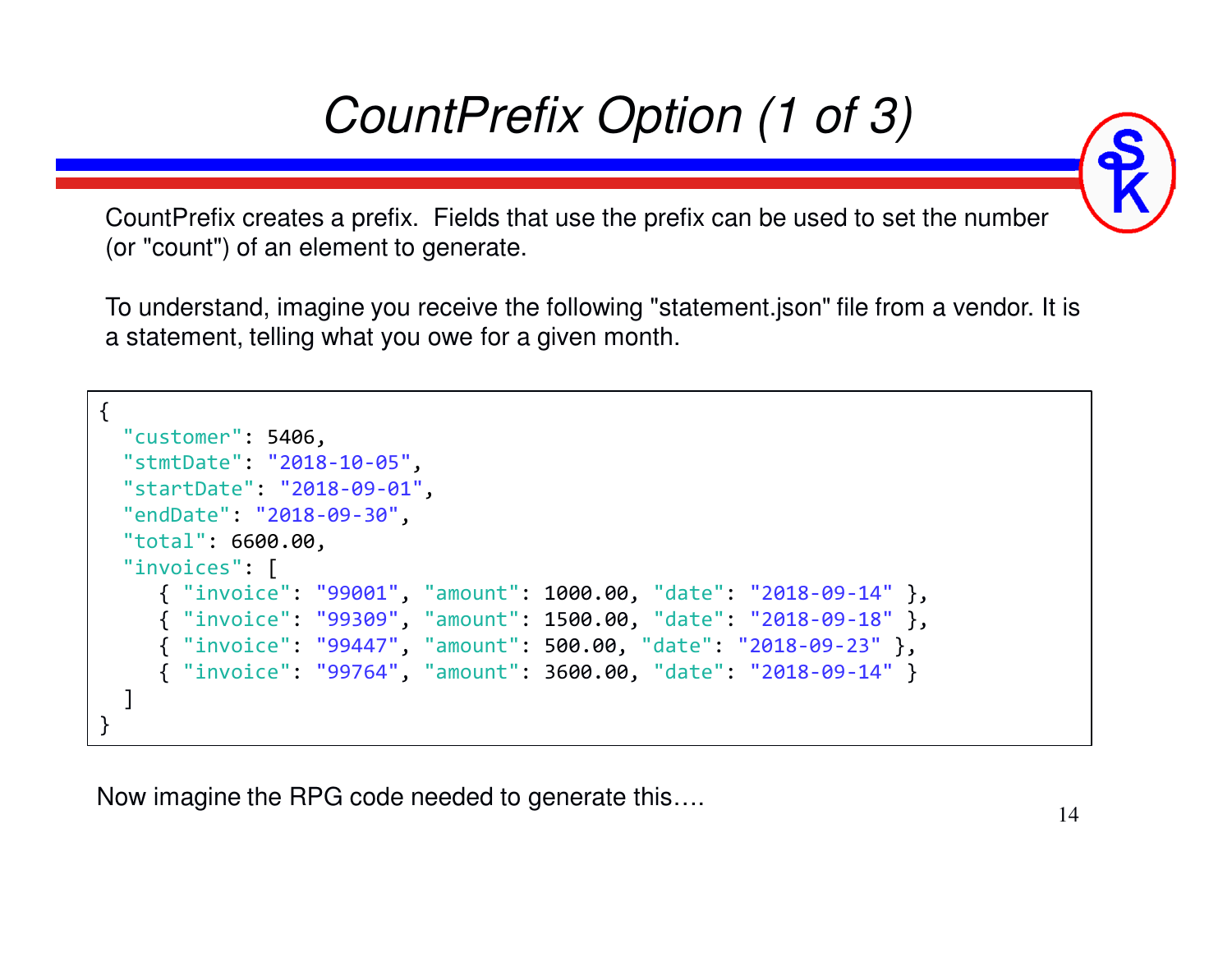# *CountPrefix Option (1 of 3)*

CountPrefix creates a prefix. Fields that use the prefix can be used to set the number (or "count") of an element to generate.

To understand, imagine you receive the following "statement.json" file from a vendor. It is a statement, telling what you owe for a given month.

```
\mathcal{L}"customer": 5406,
"stmtDate": "2018-10-05",
"startDate": "2018-09-01","endDate": "2018-09-30","total": 6600.00,"invoices": [
{ "invoice": "99001", "amount": 1000.00, "date": "2018-09-14" },
     { "invoice": "99309", "amount": 1500.00, "date": "2018-09-18" },
     { "invoice": "99447", "amount": 500.00, "date": "2018-09-23" },
     { "invoice": "99764", "amount": 3600.00, "date": "2018-09-14"}]}
```
Now imagine the RPG code needed to generate this….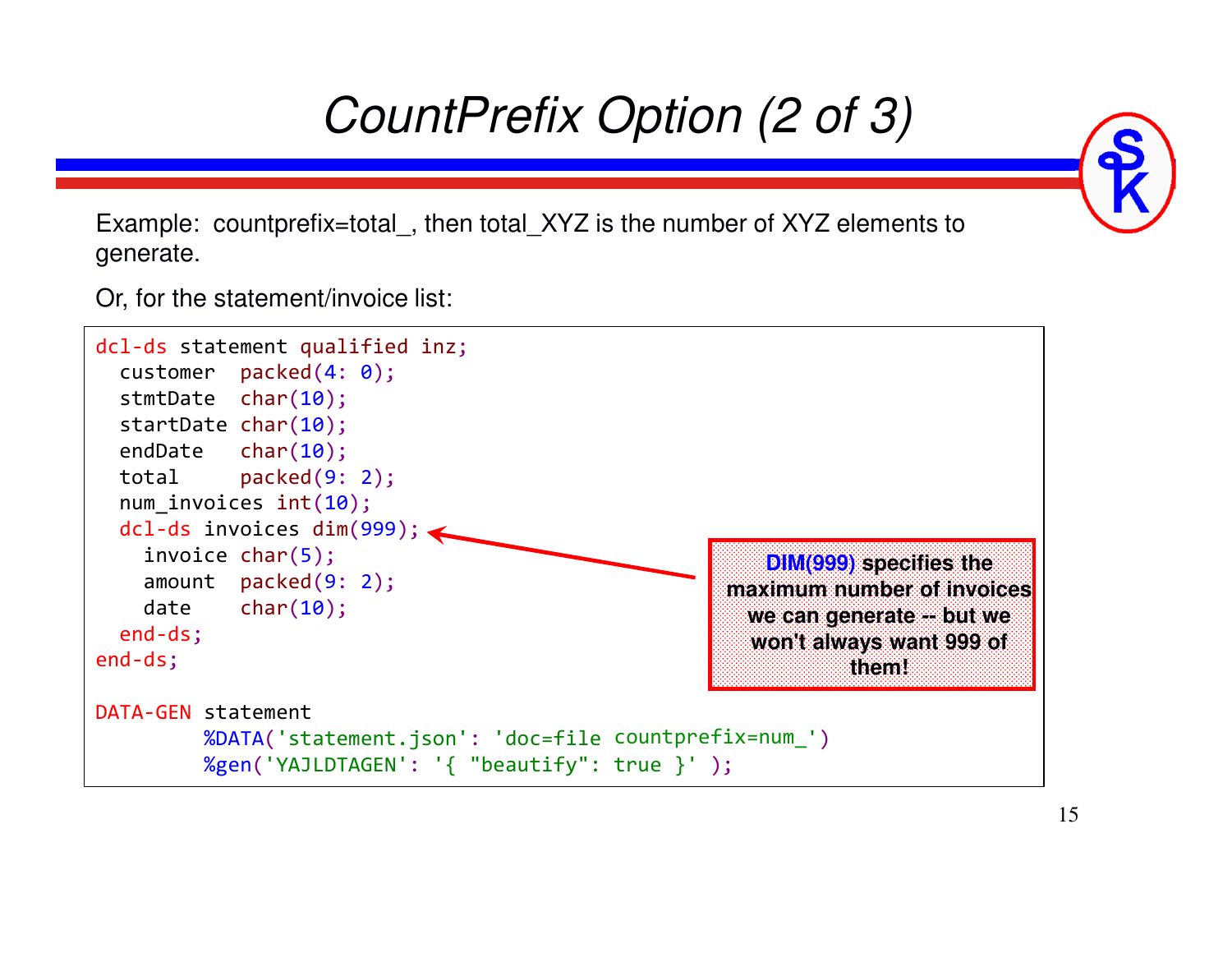# *CountPrefix Option (2 of 3)*

Example: countprefix=total, then total XYZ is the number of XYZ elements to generate.

Or, for the statement/invoice list:

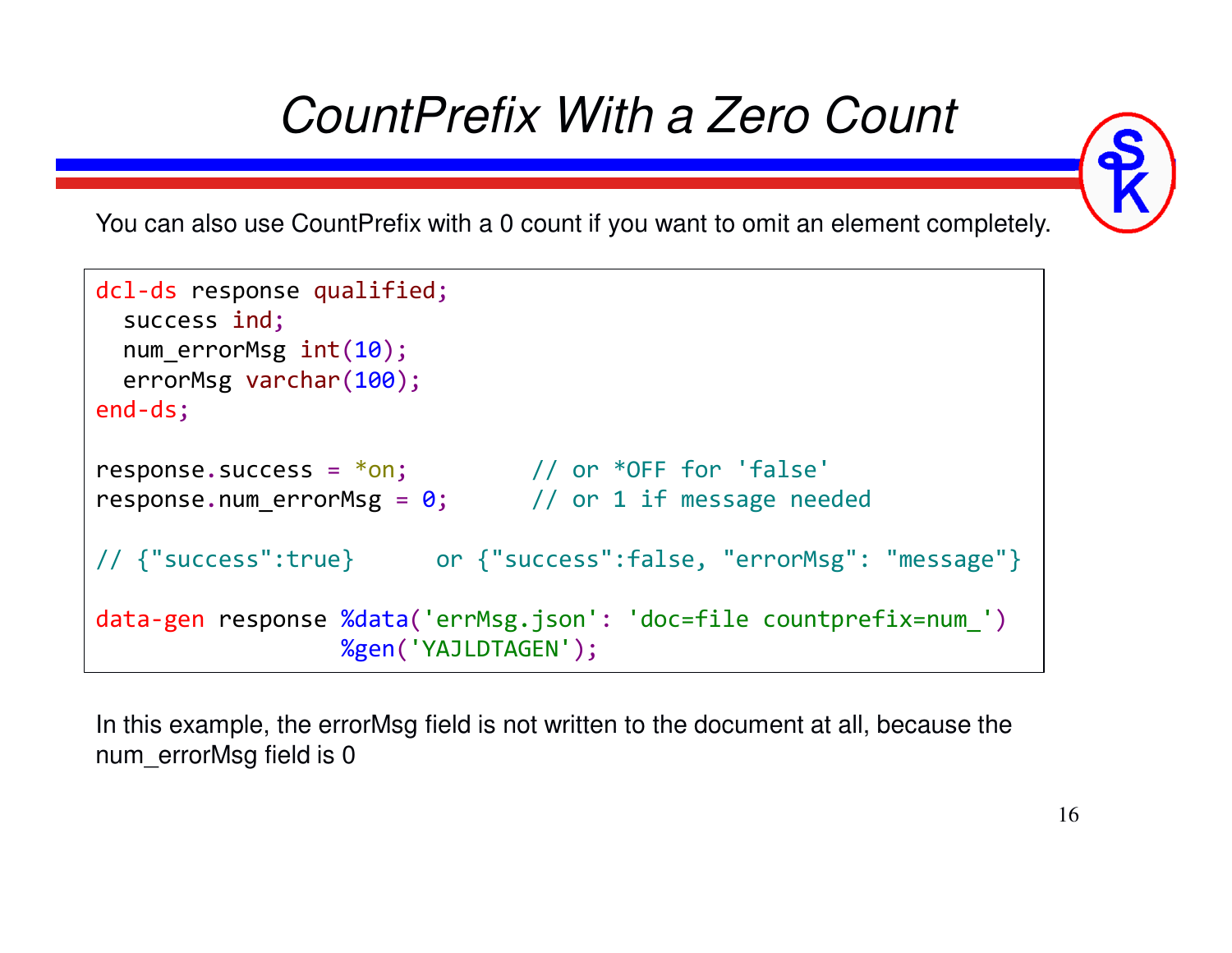# *CountPrefix With a Zero Count*



You can also use CountPrefix with a 0 count if you want to omit an element completely.

```
dcl-ds response qualified;
  success ind;
num_errorMsg int(10);
   errorMsg varchar(100);
end-ds;\mathsf{response}.\mathsf{success} = \mathsf{*on}; \quad \quad \quad \text{/} \text{/} \text{ or } \mathsf{*OFF} \text{ for } \text{'false'}.<code>response.num_errorMsg</code> = 0; \qquad // or 1 if message needed
// {"success":true} or {"success":false, "errorMsg": "message"}data-gen response %data('errMsg.json': 'doc=file countprefix=num_')
                       %gen('YAJLDTAGEN');
```
In this example, the errorMsg field is not written to the document at all, because the num\_errorMsg field is 0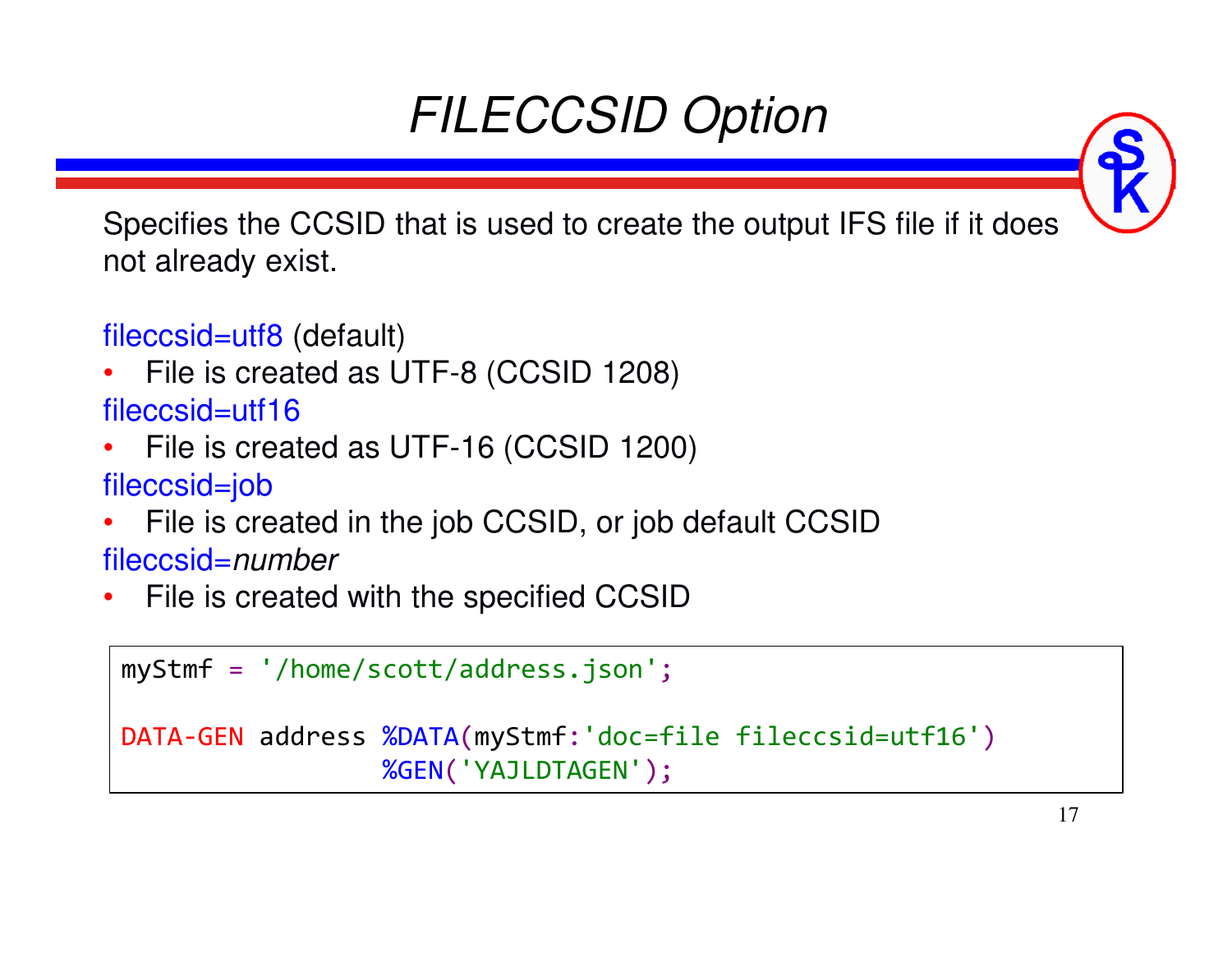# *FILECCSID Option*

Specifies the CCSID that is used to create the output IFS file if it does not already exist.

fileccsid=utf8 (default)

•File is created as UTF-8 (CCSID 1208)

fileccsid=utf16

- File is created as UTF-16 (CCSID 1200) •fileccsid=job
- File is created in the job CCSID, or job default CCSID•fileccsid=*number*
- •File is created with the specified CCSID

```
myStmf = '/home/scott/address.json';
DATA-GEN address %DATA(myStmf:'doc=file fileccsid=utf16')
                 %GEN('YAJLDTAGEN');
```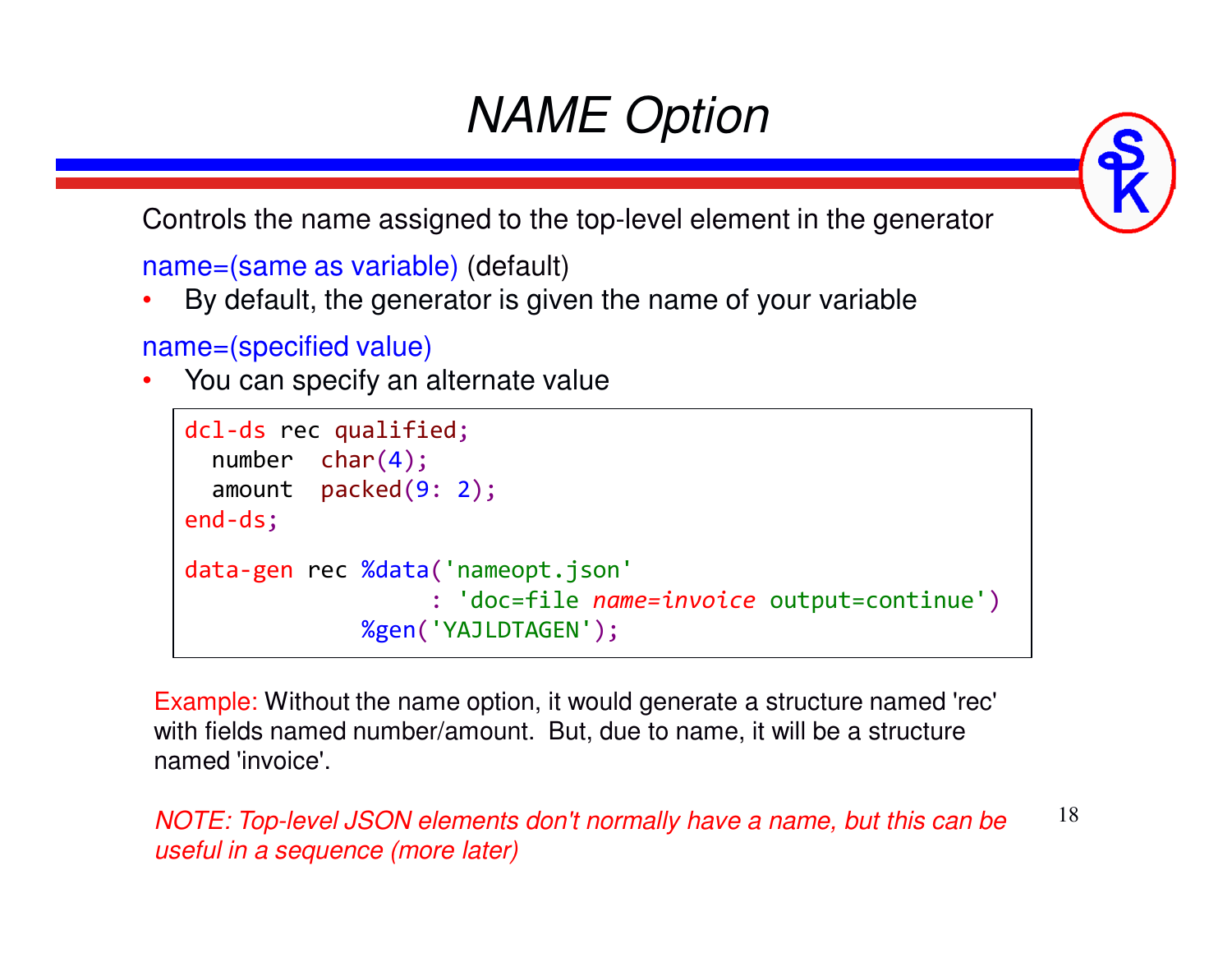# *NAME Option*

Controls the name assigned to the top-level element in the generator

name=(same as variable) (default)

•By default, the generator is given the name of your variable

name=(specified value)

•You can specify an alternate value

```
dcl-ds rec qualified;
  number char(4);
amount packed(9: 2);
end-ds;data-gen rec %data('nameopt.json'
                  : 'doc=file name=invoice output=continue')
             %gen('YAJLDTAGEN');
```
Example: Without the name option, it would generate a structure named 'rec' with fields named number/amount. But, due to name, it will be a structure named 'invoice'.

18*NOTE: Top-level JSON elements don't normally have a name, but this can be useful in a sequence (more later)*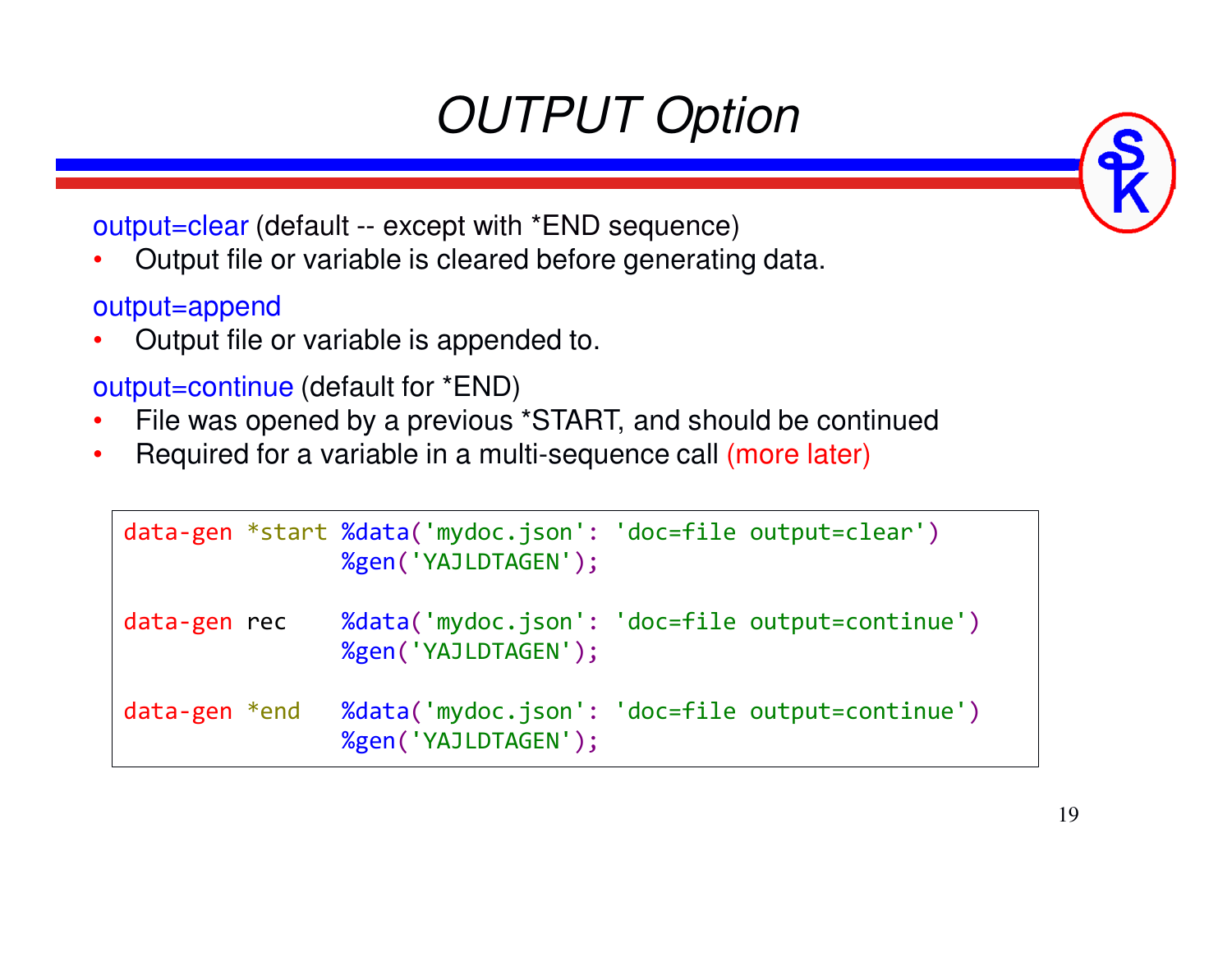# *OUTPUT Option*

output=clear (default -- except with \*END sequence)

 Output file or variable is cleared before generating data. •

#### output=append

 Output file or variable is appended to. •

#### output=continue (default for \*END)

- File was opened by a previous \*START, and should be continued•
- •Required for a variable in a multi-sequence call (more later)

|                     | data-gen *start %data('mydoc.json': 'doc=file output=clear')<br>%gen('YAJLDTAGEN'); |  |
|---------------------|-------------------------------------------------------------------------------------|--|
| data-gen rec        | %data('mydoc.json': 'doc=file output=continue')<br>%gen('YAJLDTAGEN');              |  |
| $data$ -gen $*$ end | %data('mydoc.json': 'doc=file output=continue')<br>%gen('YAJLDTAGEN');              |  |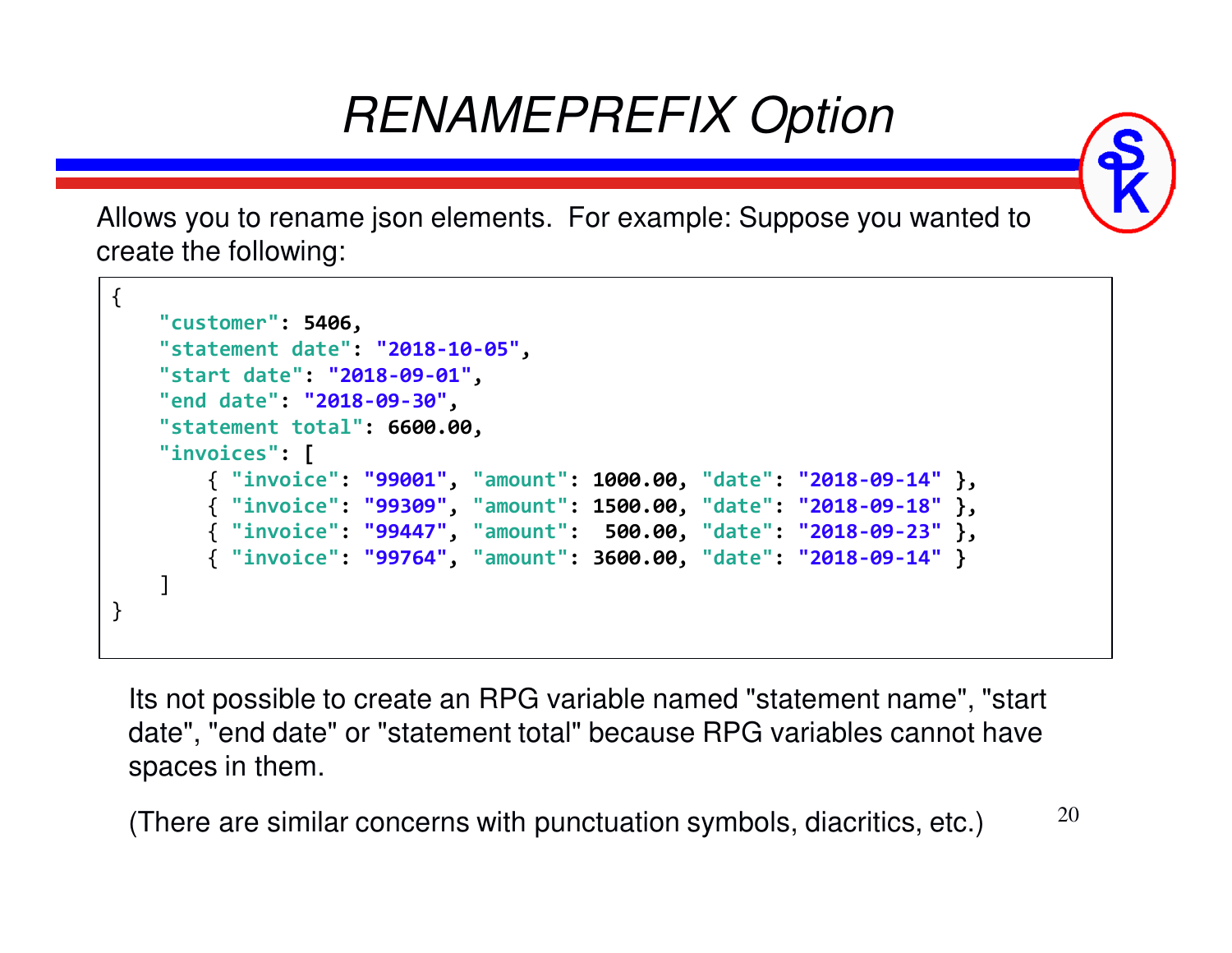# *RENAMEPREFIX Option*

Allows you to rename json elements. For example: Suppose you wanted to create the following:

```
{"customer": 5406,
"statement date": "2018-10-05","start date": "2018-09-01","end date": "2018-09-30",
"statement total": 6600.00,"invoices": [
{ "invoice": "99001", "amount": 1000.00, "date": "2018-09-14" },
        { "invoice": "99309", "amount": 1500.00, "date": "2018-09-18" },
        { "invoice": "99447", "amount": 500.00, "date": "2018-09-23" },
        { "invoice": "99764", "amount": 3600.00, "date": "2018-09-14"}]}
```
Its not possible to create an RPG variable named "statement name", "start date", "end date" or "statement total" because RPG variables cannot have spaces in them.

(There are similar concerns with punctuation symbols, diacritics, etc.)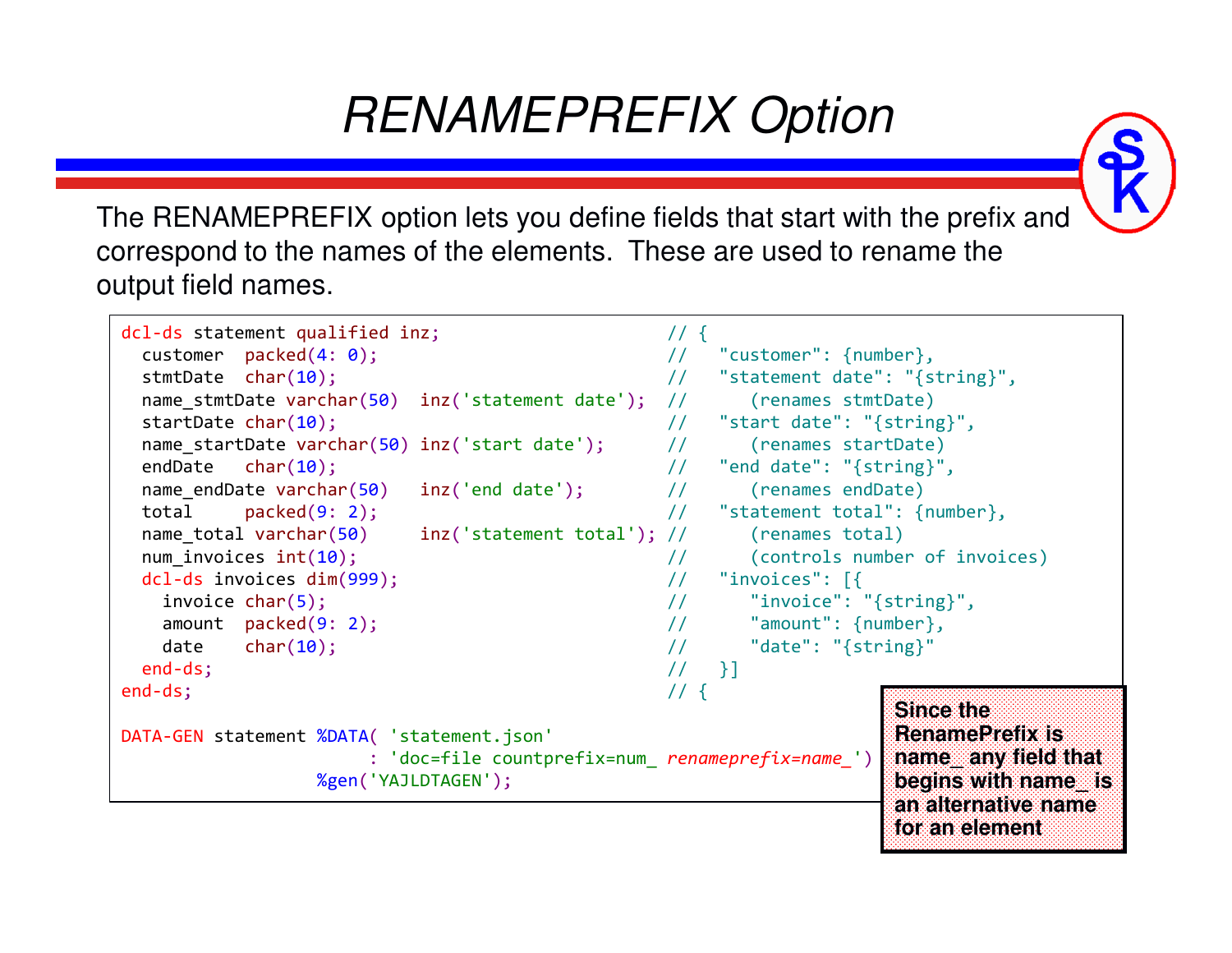# *RENAMEPREFIX Option*

The RENAMEPREFIX option lets you define fields that start with the prefix and correspond to the names of the elements. These are used to rename the output field names.

```
21an alternative name dcl-ds statement qualified inz; \frac{1}{2} // {
  customer packed(4: 0);
                                                                // "customer": {number},<br>// "statement date": "{s
  stmtDate char(10);
                                                                // "statement date": "{string}",<br>// (renames stmtDate)
   name_stmtDate varchar(50) inz('statement date'); // (renames stmtDate)
  startDate char(10);
                                                                // "start date": "{string}",<br>// (renames startDate)
   name_startDate varchar(50) inz('start date'); // (renames startDate)
  endDatechar(10);<br>ate varchar(50) inc('end date'); // "end date": "{string}",
  name endDate varchar(50)
                                   \text{inz}(\text{'end date'}); //
  total packed(9: 2);
                                                                       "statement total": {number},<br>(renames total)
  name_total_varchar(50)
                                   inz('statement total'); //<br>//
  num invoices int(10);
                                                                // (controls number of invoices)<br>// "invoices": [{
  dcl-ds invoices dim(999); // "invoices": [{
    invoice char(5); // "invoice": "{string}",
    amount packed(9: 2);
                                                                //    "amount": {number},<br>//    "date": "{string}"
    date char(10); // "date": "{string}"
  end-ds;; / / | }]
end-ds;\frac{1}{2} \frac{1}{2} \frac{1}{3} \frac{1}{4} \frac{1}{4} \frac{1}{3} \frac{1}{4} \frac{1}{4} \frac{1}{3} \frac{1}{4} \frac{1}{5} \frac{1}{2} \frac{1}{4} \frac{1}{2} \frac{1}{3} \frac{1}{4} \frac{1}{5} \frac{1}{2} \frac{1}{3} \frac{1}{4} \frac{1}{5} \frac{1}{2} DATA-GEN statement %DATA( 'statement.json'
                             : 'doc=file countprefix=num_ renameprefix=name_')
                       %gen('YAJLDTAGEN');Since the 
RenamePrefix is 
                                                                                           name_ any field that 
begins with name_ is for an element
```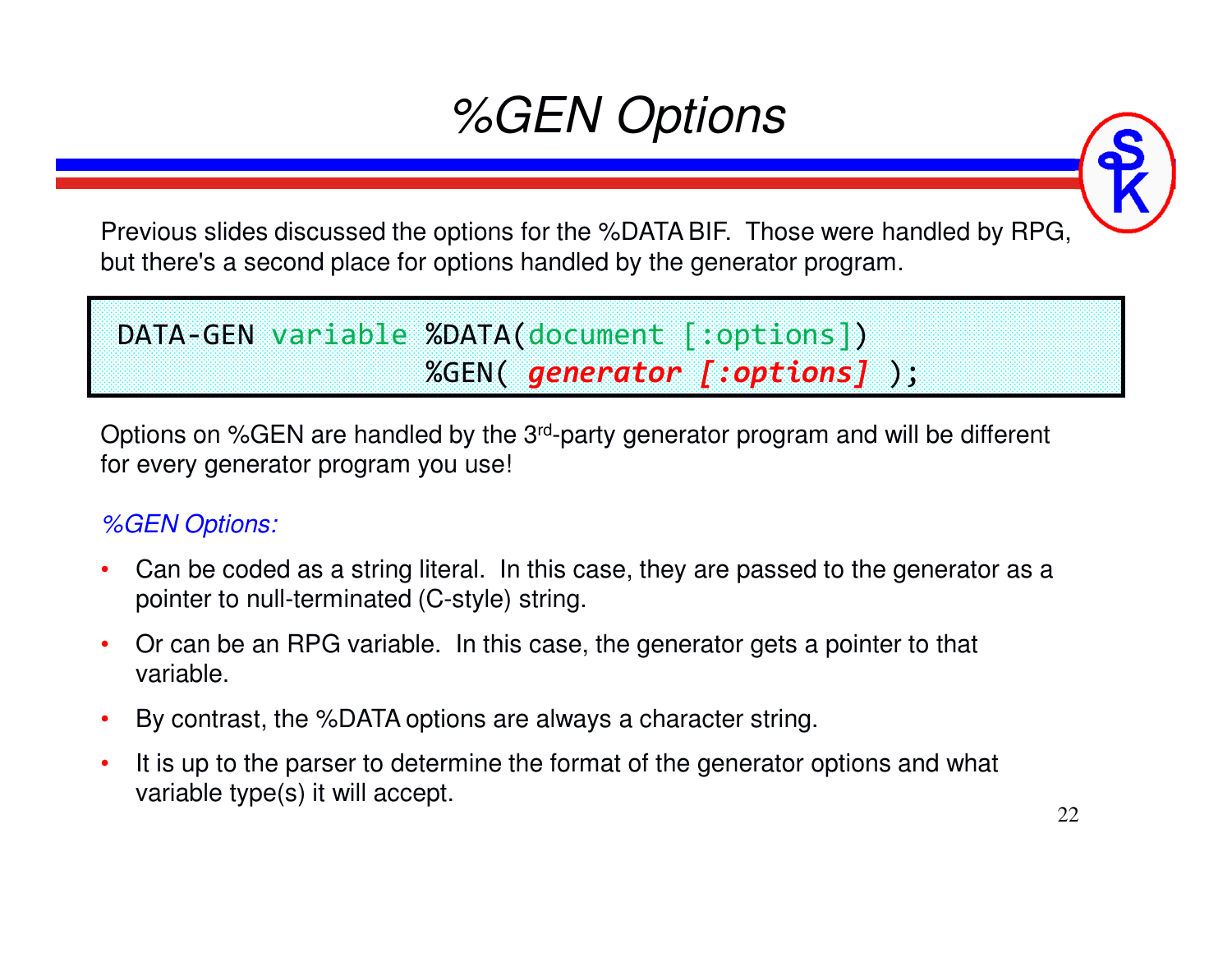# *%GEN Options*

Previous slides discussed the options for the %DATA BIF. Those were handled by RPG, but there's a second place for options handled by the generator program.

#### DATA-GEN variable %DATA(document [:options]) %GEN( *generator [:options]* );

Options on %GEN are handled by the 3rd-party generator program and will be different for every generator program you use!

#### *%GEN Options:*

- • Can be coded as a string literal. In this case, they are passed to the generator as a pointer to null-terminated (C-style) string.
- • Or can be an RPG variable. In this case, the generator gets a pointer to that variable.
- •By contrast, the %DATA options are always a character string.
- • It is up to the parser to determine the format of the generator options and what variable type(s) it will accept.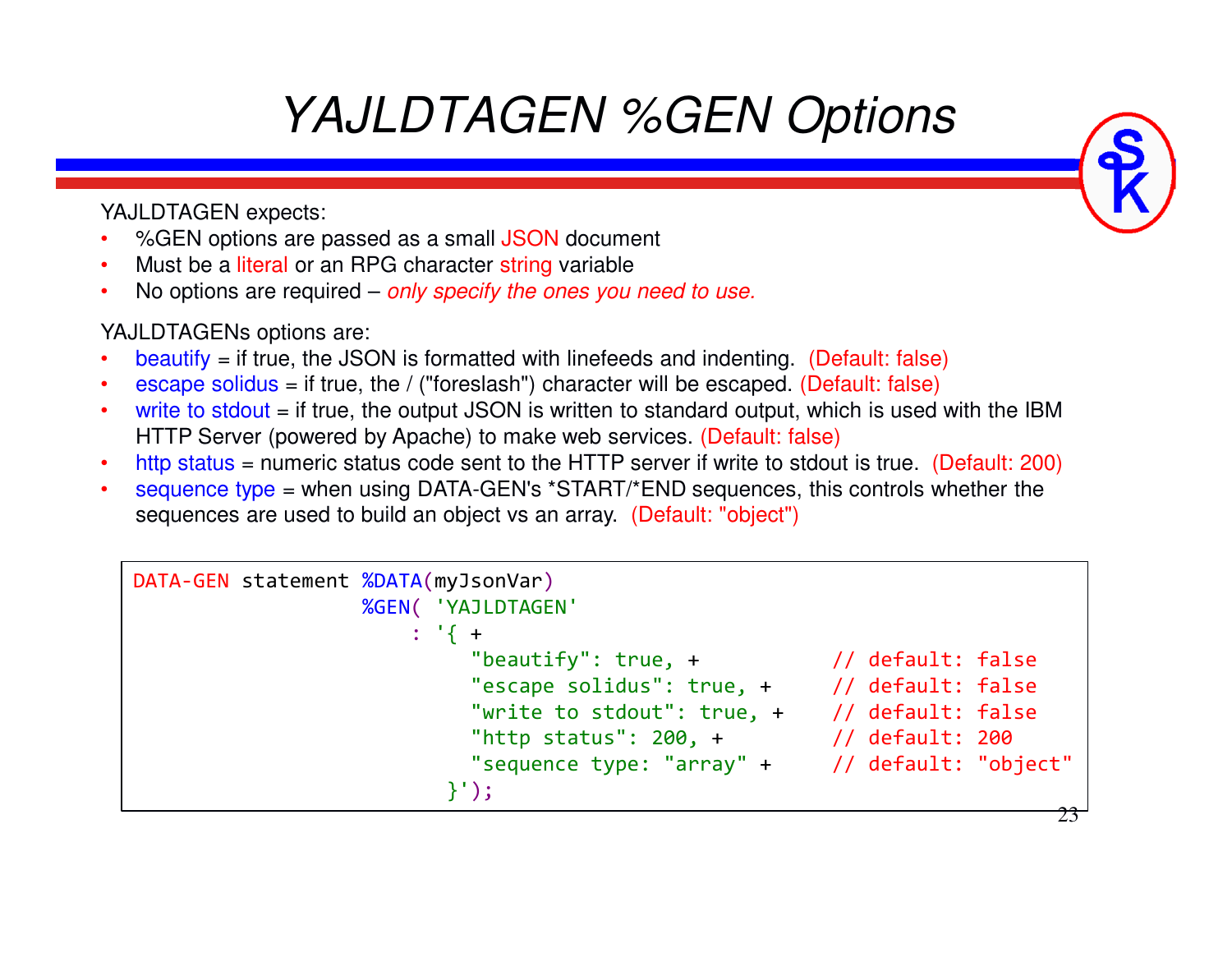# *YAJLDTAGEN %GEN Options*

YAJLDTAGEN expects:

- •%GEN options are passed as a small JSON document
- •• Must be a literal or an RPG character string variable
- •No options are required – *only specify the ones you need to use.*

YAJLDTAGENs options are:

- • $beautify = if true, the JSON is formatted with line feeds and indenting. (Default: false)$
- •escape solidus = if true, the / ("foreslash") character will be escaped. (Default: false)
- •write to stdout  $=$  if true, the output JSON is written to standard output, which is used with the IBM HTTP Server (powered by Apache) to make web services. (Default: false)
- http status = numeric status code sent to the HTTP server if write to stdout is true. (Default: 200) •
- • sequence type = when using DATA-GEN's \*START/\*END sequences, this controls whether the sequences are used to build an object vs an array. (Default: "object")

```
DATA-GEN statement %DATA(myJsonVar) 
                  %GEN( 'YAJLDTAGEN'
                      : '{ 
+"beautify": true, +\frac{1}{2} // default: false

"escape solidus": true, + // default: false
"write to stdout": true, + // default: false"http status": 200, + // default: 200
"sequence type: "array" + // default: "object"}');
```
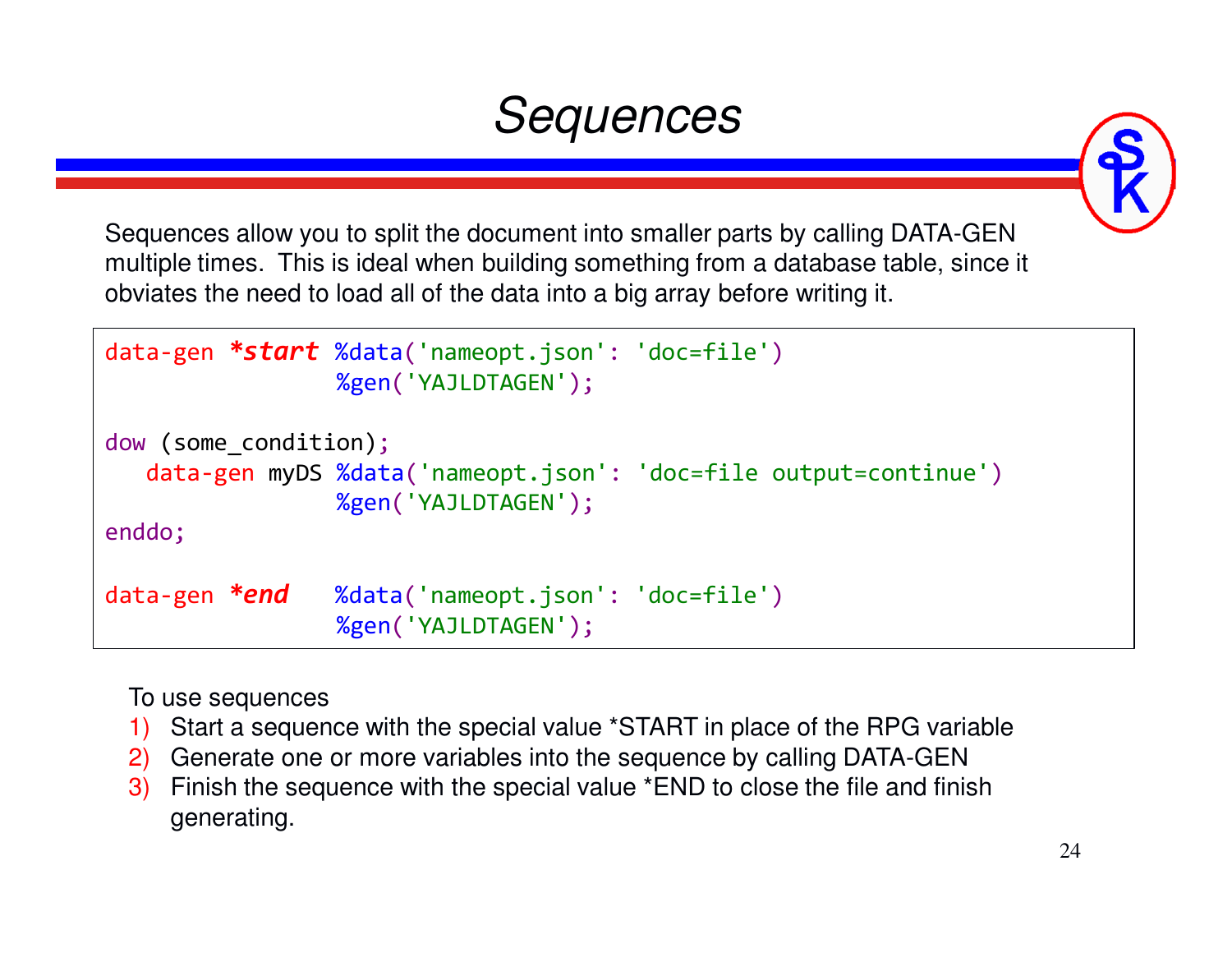# *Sequences*

Sequences allow you to split the document into smaller parts by calling DATA-GEN multiple times. This is ideal when building something from a database table, since it obviates the need to load all of the data into a big array before writing it.

```
data-gen *start %data('nameopt.json': 'doc=file')
                 %gen('YAJLDTAGEN');dow (some_condition);
   data-gen myDS %data('nameopt.json': 'doc=file output=continue')
                 %gen('YAJLDTAGEN');enddo;data-gen *end
                  *end %data('nameopt.json': 'doc=file')
                 %gen('YAJLDTAGEN');
```
To use sequences

- Start a sequence with the special value \*START in place of the RPG variable1)
- 2) Generate one or more variables into the sequence by calling DATA-GEN
- Finish the sequence with the special value \*END to close the file and finish 3)generating.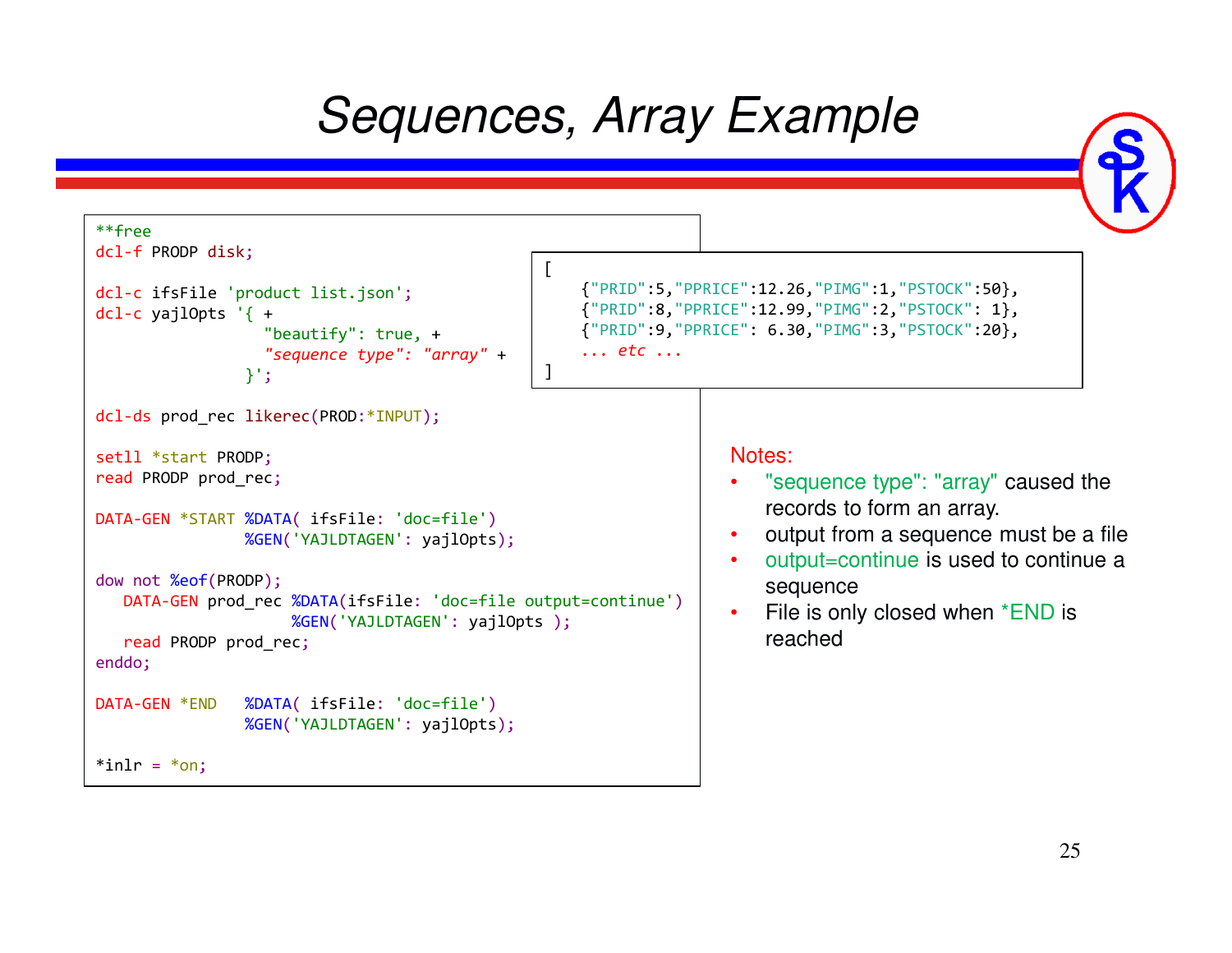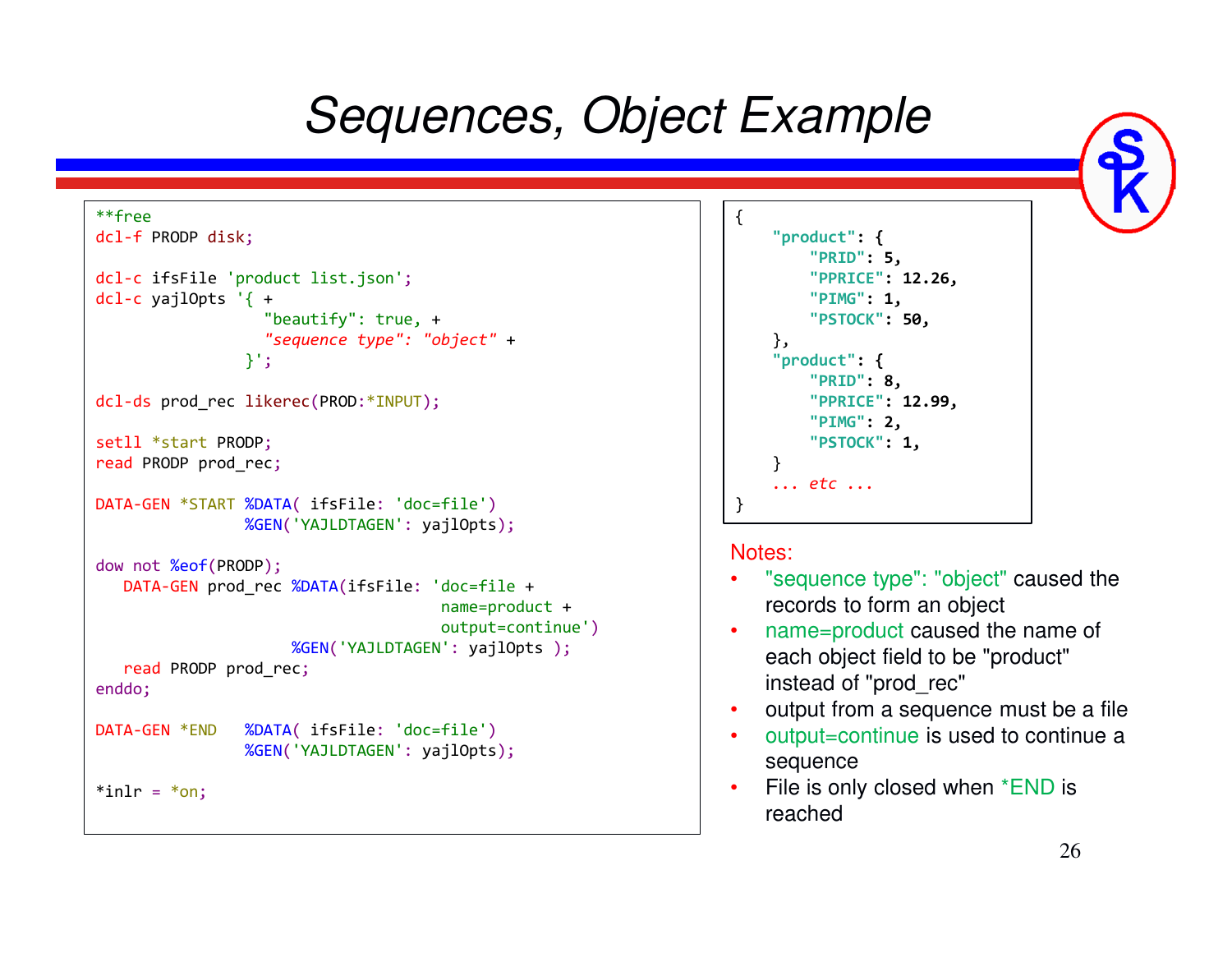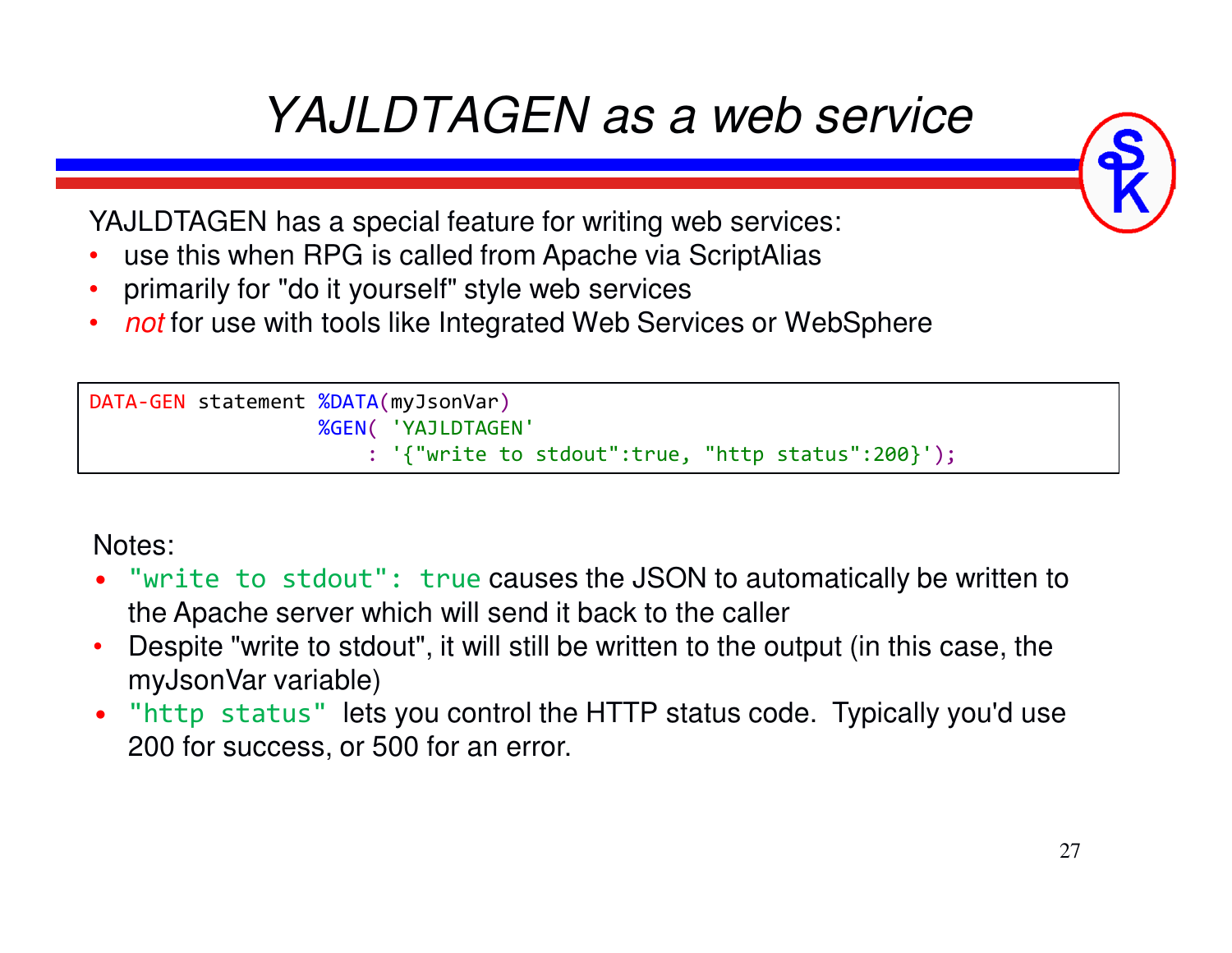# *YAJLDTAGEN as a web service*

YAJLDTAGEN has a special feature for writing web services:

- •use this when RPG is called from Apache via ScriptAlias
- •primarily for "do it yourself" style web services
- *not* for use with tools like Integrated Web Services or WebSphere•

```
DATA-GEN statement %DATA(myJsonVar) 
                   %GEN( 'YAJLDTAGEN'
                       : '{"write to stdout":true, "http status":200}');
```
Notes:

- "write to stdout": true causes the JSON to automatically be written to the Apache server which will send it back to the caller
- Despite "write to stdout", it will still be written to the output (in this case, the •myJsonVar variable)
- "http status" lets you control the HTTP status code. Typically you'd use •200 for success, or 500 for an error.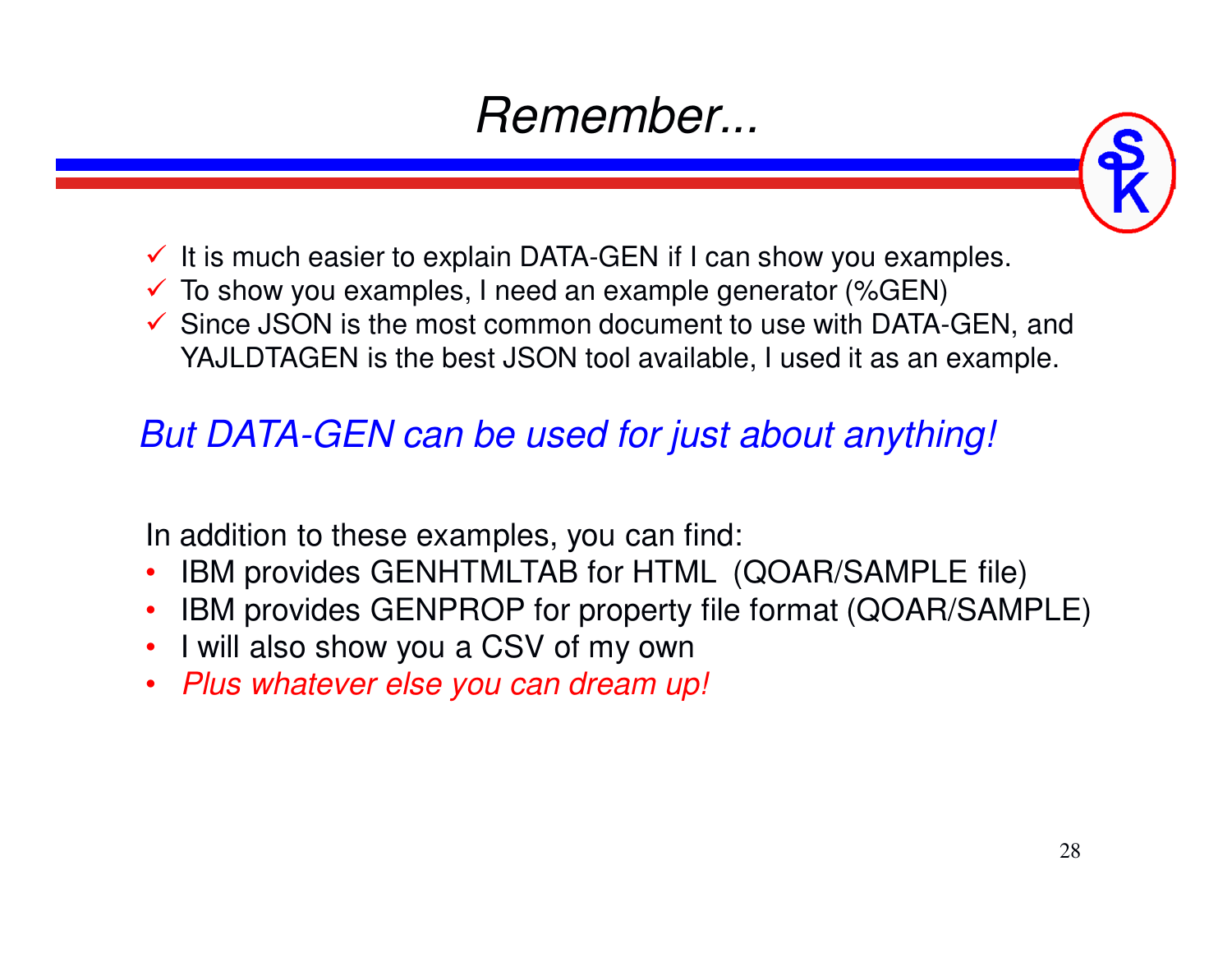### *Remember...*



- $\checkmark$  It is much easier to explain DATA-GEN if I can show you examples.
- $\checkmark$  To show you examples, I need an example generator (%GEN)
- Since JSON is the most common document to use with DATA-GEN, and<br>
YA ILDTAGEN is the best JSON teal quailable. Lueed it as an example YAJLDTAGEN is the best JSON tool available, I used it as an example.

### *But DATA-GEN can be used for just about anything!*

In addition to these examples, you can find:

- •IBM provides GENHTMLTAB for HTML (QOAR/SAMPLE file)
- IBM provides GENPROP for property file format (QOAR/SAMPLE)
- I will also show you a CSV of my own
- *Plus whatever else you can dream up!*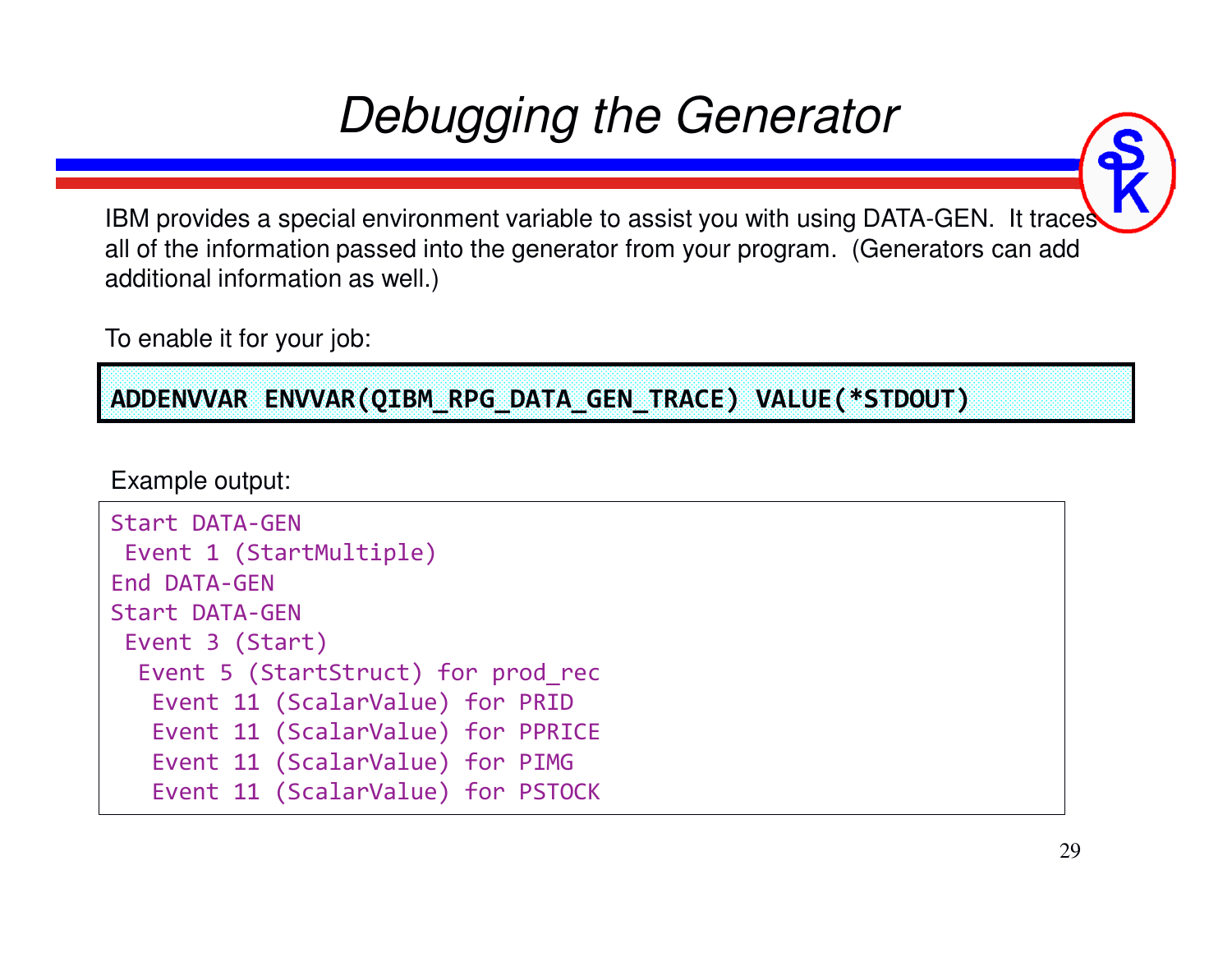# *Debugging the Generator*

IBM provides a special environment variable to assist you with using DATA-GEN. It traces all of the information passed into the generator from your program. (Generators can add additional information as well.)

To enable it for your job:

**ADDENVVAR ENVVAR(QIBM\_RPG\_DATA\_GEN\_TRACE) VALUE(\*STDOUT)**

Example output:

```
Start DATA-GEN
Event 1 (StartMultiple)End DATA-GEN
Start DATA-GEN
Event 3 (Start)
Event 5 (StartStruct) for prod_recEvent 11 (ScalarValue) for PRID
Event 11 (ScalarValue) for PPRICEEvent 11 (ScalarValue) for PIMG
Event 11 (ScalarValue) for PSTOCK
```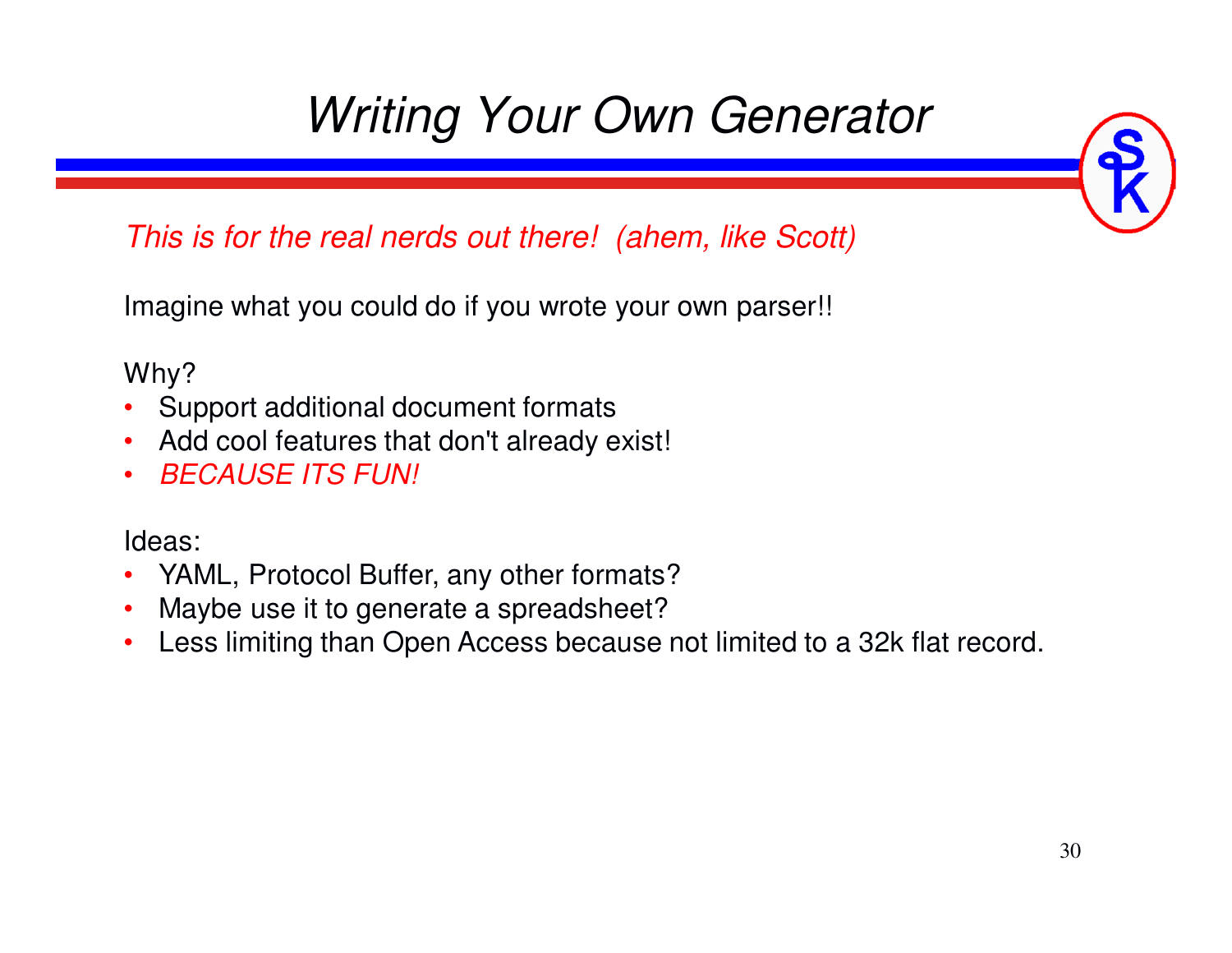# *Writing Your Own Generator*

*This is for the real nerds out there! (ahem, like Scott)*

Imagine what you could do if you wrote your own parser!!

Why?

- Support additional document formats
- Add cool features that don't already exist!
- $\bullet$ *BECAUSE ITS FUN!*

Ideas:

- •YAML, Protocol Buffer, any other formats?
- Maybe use it to generate a spreadsheet?•
- Less limiting than Open Access because not limited to a 32k flat record. $\bullet$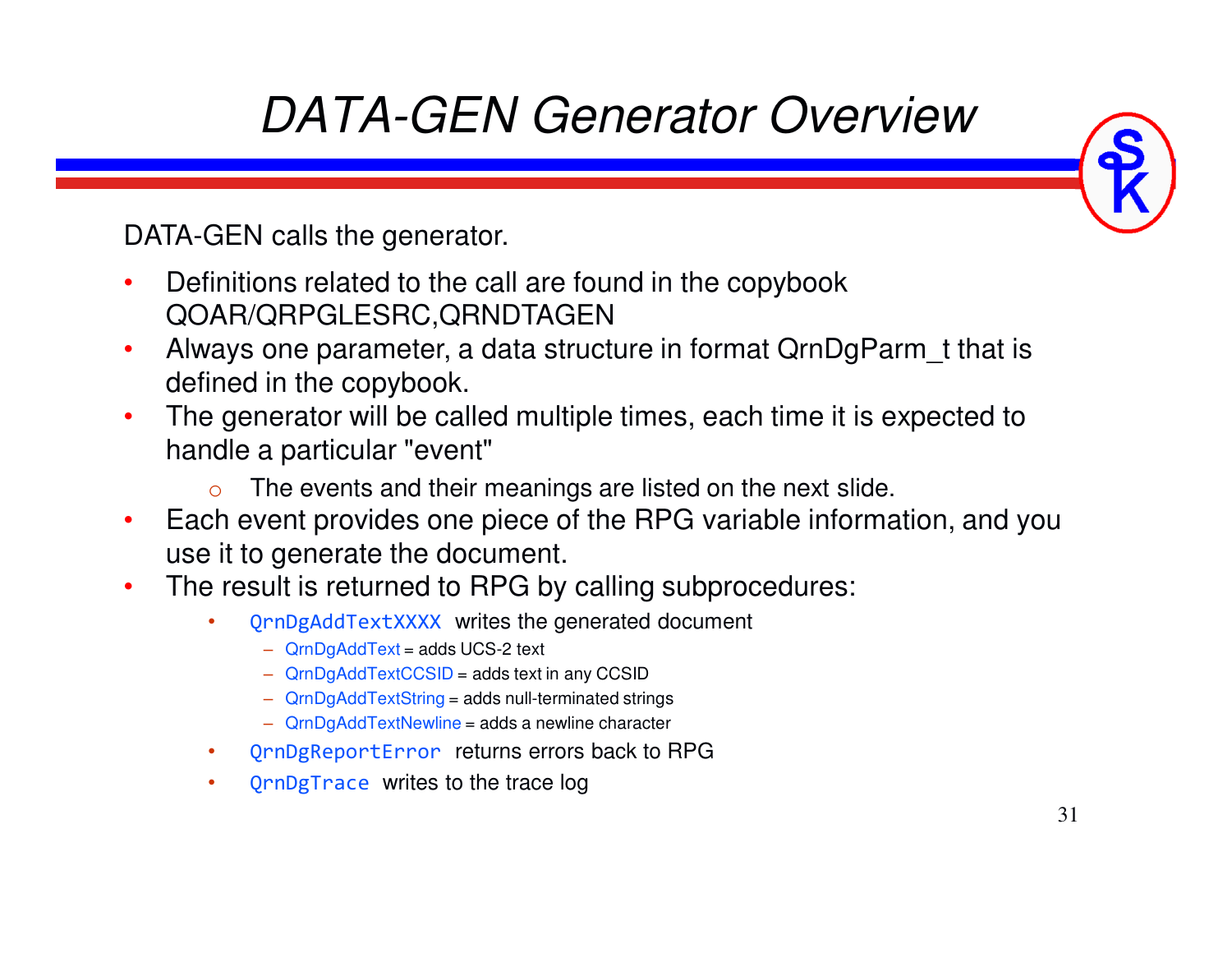# *DATA-GEN Generator Overview*

DATA-GEN calls the generator.

- • Definitions related to the call are found in the copybook QOAR/QRPGLESRC,QRNDTAGEN
- Always one parameter, a data structure in format QrnDgParm\_t that is •defined in the copybook.
- The generator will be called multiple times, each time it is expected to •handle a particular "event"
	- oThe events and their meanings are listed on the next slide.
- • Each event provides one piece of the RPG variable information, and you use it to generate the document.
- • The result is returned to RPG by calling subprocedures:
	- • QrnDgAddTextXXXX writes the generated document
		- ‒ QrnDgAddText = adds UCS-2 text
		- ‒ QrnDgAddTextCCSID = adds text in any CCSID
		- ‒ QrnDgAddTextString = adds null-terminated strings
		- ‒ QrnDgAddTextNewline = adds a newline character
	- •QrnDgReportError returns errors back to RPG
	- •• QrnDgTrace writes to the trace log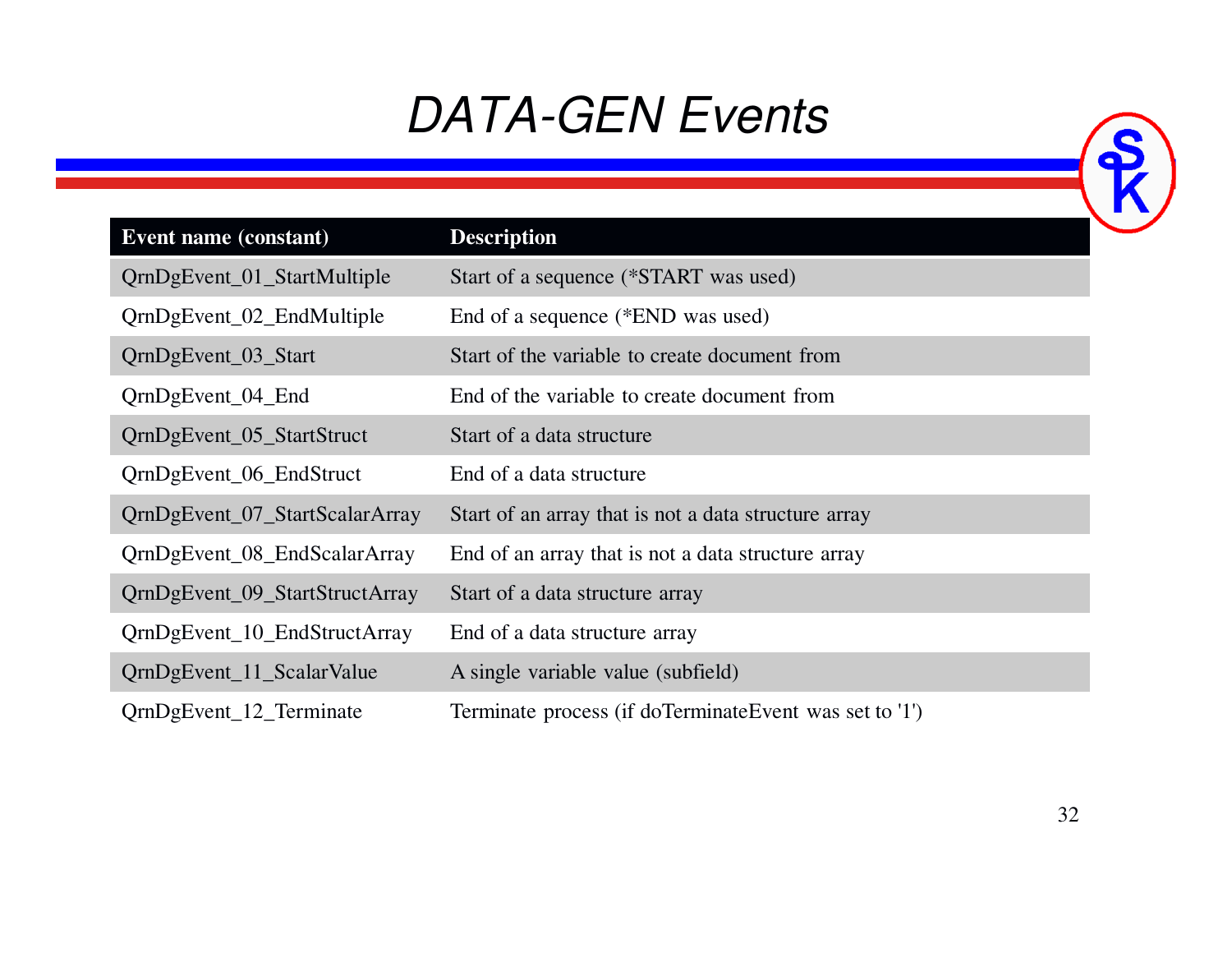### *DATA-GEN Events*

| <b>Event name (constant)</b>   | <b>Description</b>                                     |
|--------------------------------|--------------------------------------------------------|
| QrnDgEvent_01_StartMultiple    | Start of a sequence (*START was used)                  |
| QrnDgEvent_02_EndMultiple      | End of a sequence (*END was used)                      |
| QrnDgEvent_03_Start            | Start of the variable to create document from          |
| QrnDgEvent_04_End              | End of the variable to create document from            |
| QrnDgEvent_05_StartStruct      | Start of a data structure                              |
| QrnDgEvent_06_EndStruct        | End of a data structure                                |
| QrnDgEvent_07_StartScalarArray | Start of an array that is not a data structure array   |
| QrnDgEvent_08_EndScalarArray   | End of an array that is not a data structure array     |
| QrnDgEvent_09_StartStructArray | Start of a data structure array                        |
| QrnDgEvent_10_EndStructArray   | End of a data structure array                          |
| QrnDgEvent_11_ScalarValue      | A single variable value (subfield)                     |
| QrnDgEvent_12_Terminate        | Terminate process (if doTerminateEvent was set to '1') |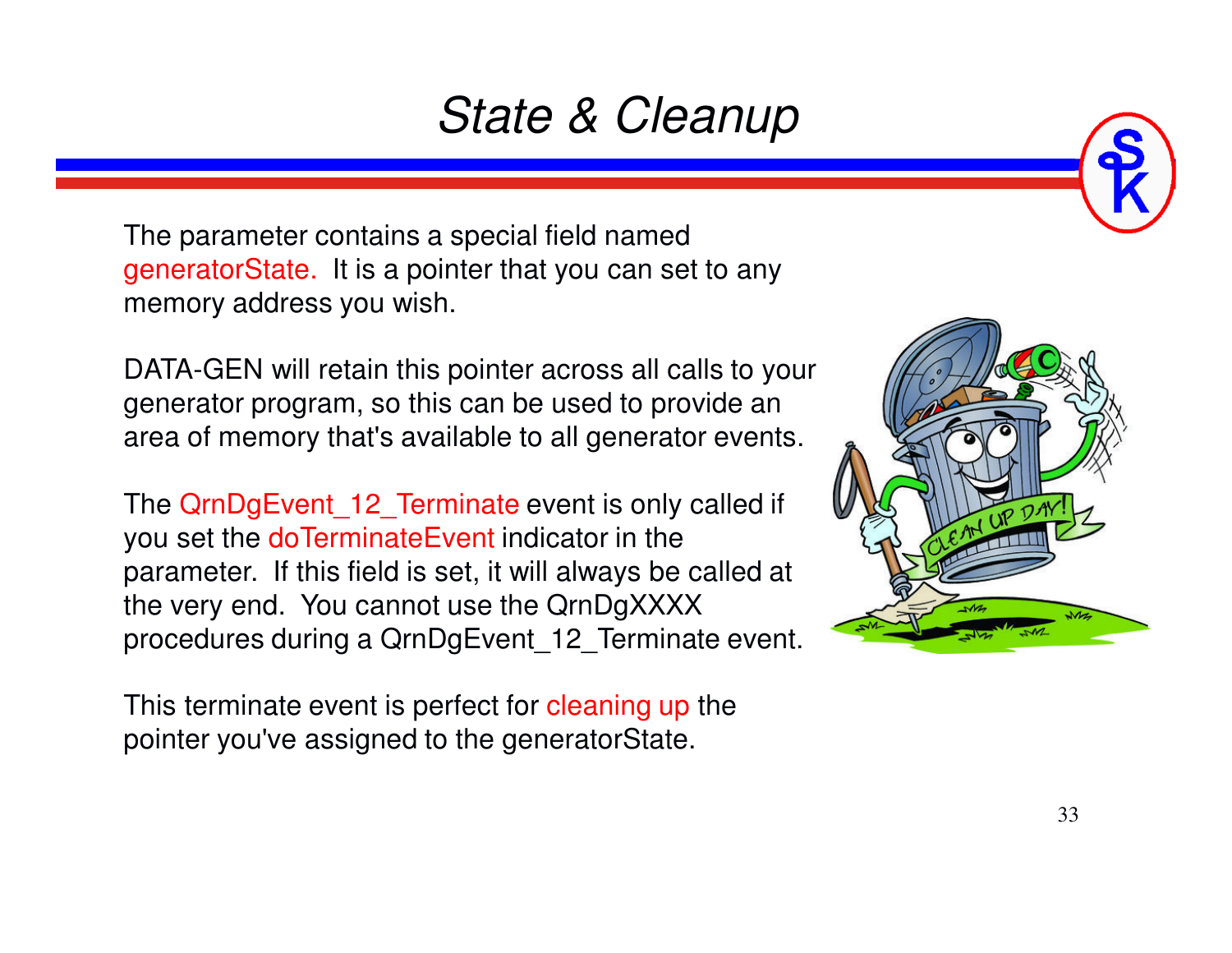### *State & Cleanup*

The parameter contains a special field named generatorState. It is a pointer that you can set to any memory address you wish.

DATA-GEN will retain this pointer across all calls to your generator program, so this can be used to provide an area of memory that's available to all generator events.

The QrnDgEvent 12 Terminate event is only called if you set the doTerminateEvent indicator in the parameter. If this field is set, it will always be called at the very end. You cannot use the QrnDgXXXXprocedures during a QrnDgEvent\_12\_Terminate event.

This terminate event is perfect for cleaning up the pointer you've assigned to the generatorState.

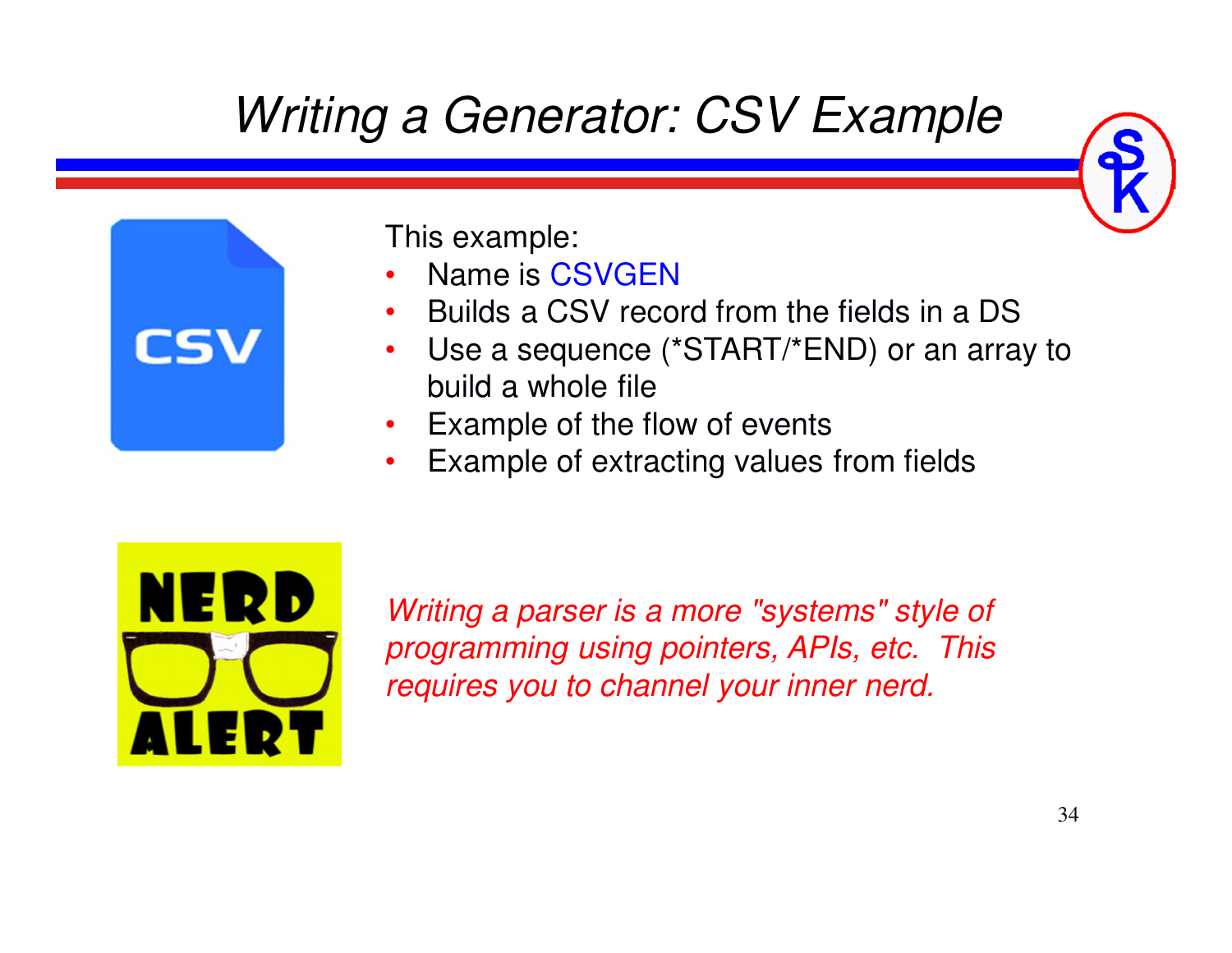### *Writing a Generator: CSV Example*



This example:

- Name is CSVGEN •
- Builds a CSV record from the fields in a DS •
- Use a sequence (\*START/\*END) or an array to  $\bullet$ build a whole file
- Example of the flow of events •
- Example of extracting values from fields•



*Writing a parser is a more "systems" style of programming using pointers, APIs, etc. This requires you to channel your inner nerd.*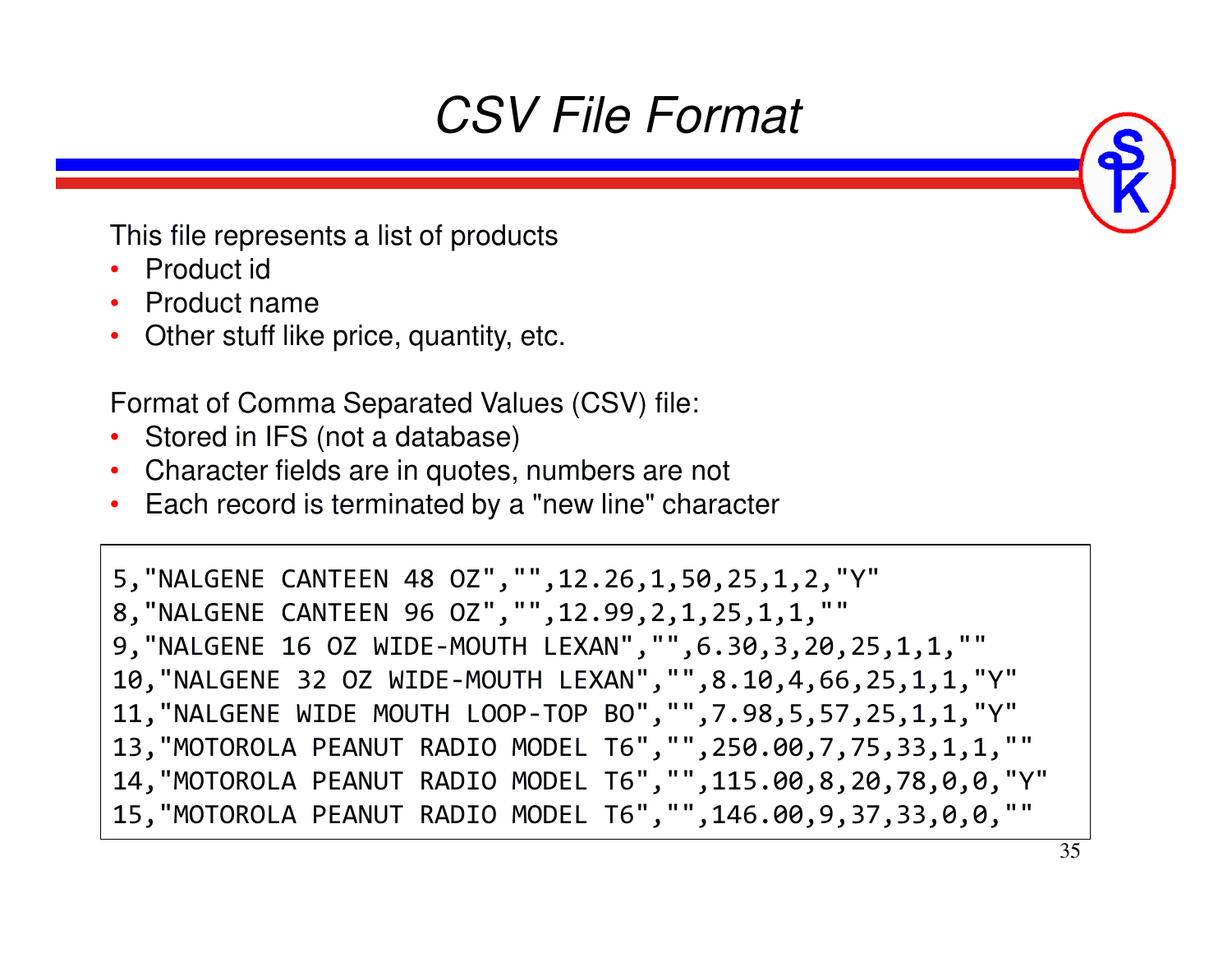### *CSV File Format*

This file represents a list of products

- Product id
- Product name
- Other stuff like price, quantity, etc.

Format of Comma Separated Values (CSV) file:

- Stored in IFS (not a database)
- Character fields are in quotes, numbers are not
- Each record is terminated by a "new line" character

```
5,"NALGENE CANTEEN 48 OZ","",12.26,1,50,25,1,2,"Y" 8,"NALGENE CANTEEN 96 OZ","",12.99,2,1,25,1,1,"" 
9,"NALGENE 16 OZ WIDE-MOUTH LEXAN","",6.30,3,20,25,1,1,"" 
10,"NALGENE 32 OZ WIDE-MOUTH LEXAN","",8.10,4,66,25,1,1,"Y" 11,"NALGENE WIDE MOUTH LOOP-TOP BO","",7.98,5,57,25,1,1,"Y" 
13,"MOTOROLA PEANUT RADIO MODEL T6","",250.00,7,75,33,1,1,"" 
14,"MOTOROLA PEANUT RADIO MODEL T6","",115.00,8,20,78,0,0,"Y"
15,"MOTOROLA PEANUT RADIO MODEL T6","",146.00,9,37,33,0,0,""
```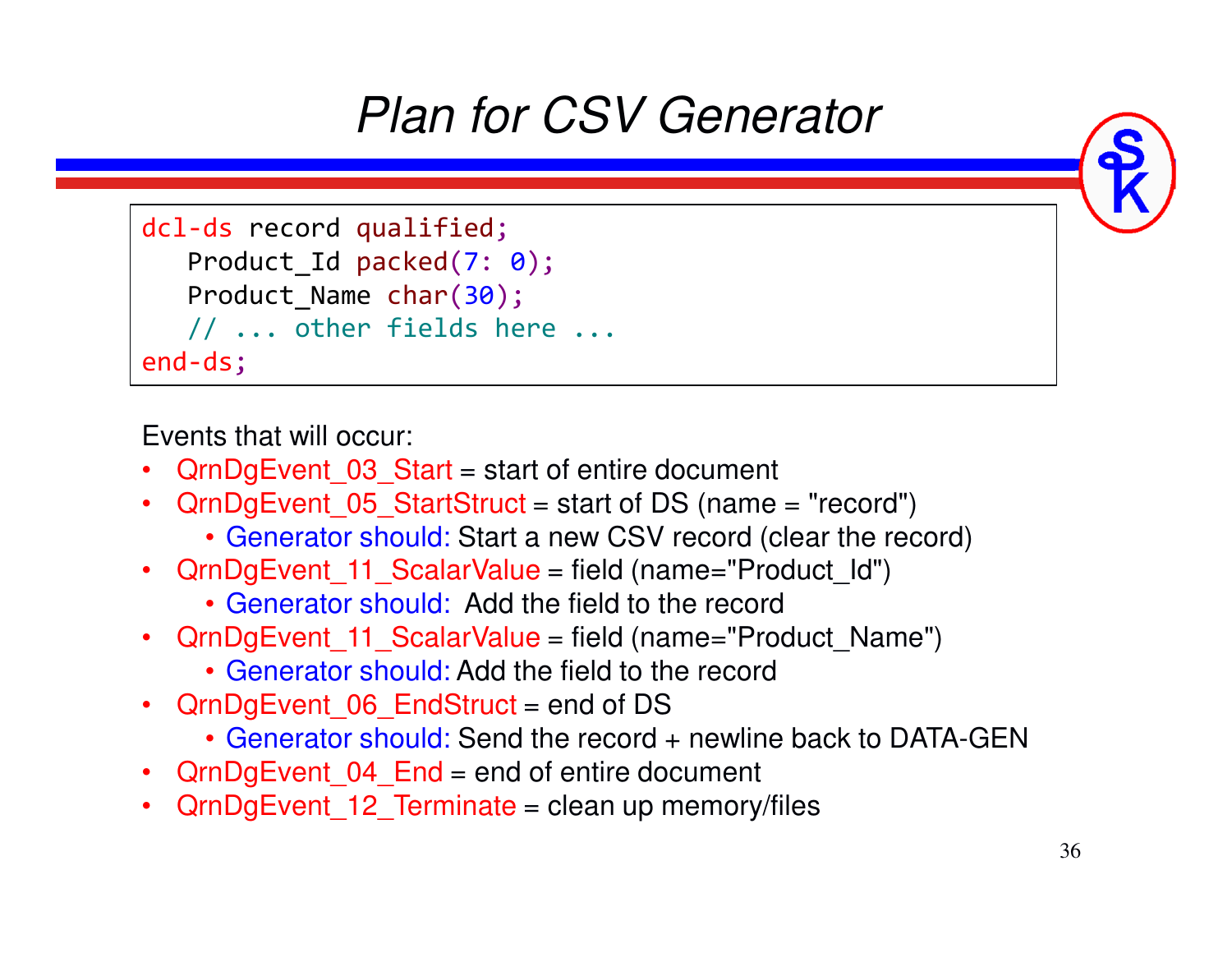# *Plan for CSV Generator*

```
dcl-ds record qualified;
    Product_Id packed
(7: 0);

Product_Name char
(30);\prime\prime \ldots other fields here \ldotsend-ds;
```
Events that will occur:

- •QrnDgEvent\_03\_Start = start of entire document
- QrnDgEvent\_05\_StartStruct = start of DS (name = "record")
	- Generator should: Start a new CSV record (clear the record)
- QrnDgEvent\_11\_ScalarValue = field (name="Product\_Id")
	- Generator should: Add the field to the record
- QrnDgEvent\_11\_ScalarValue = field (name="Product\_Name")
	- Generator should: Add the field to the record
- QrnDgEvent\_06\_EndStruct = end of DS
	- Generator should: Send the record + newline back to DATA-GEN
- QrnDgEvent\_04\_End = end of entire document
- QrnDgEvent\_12\_Terminate = clean up memory/files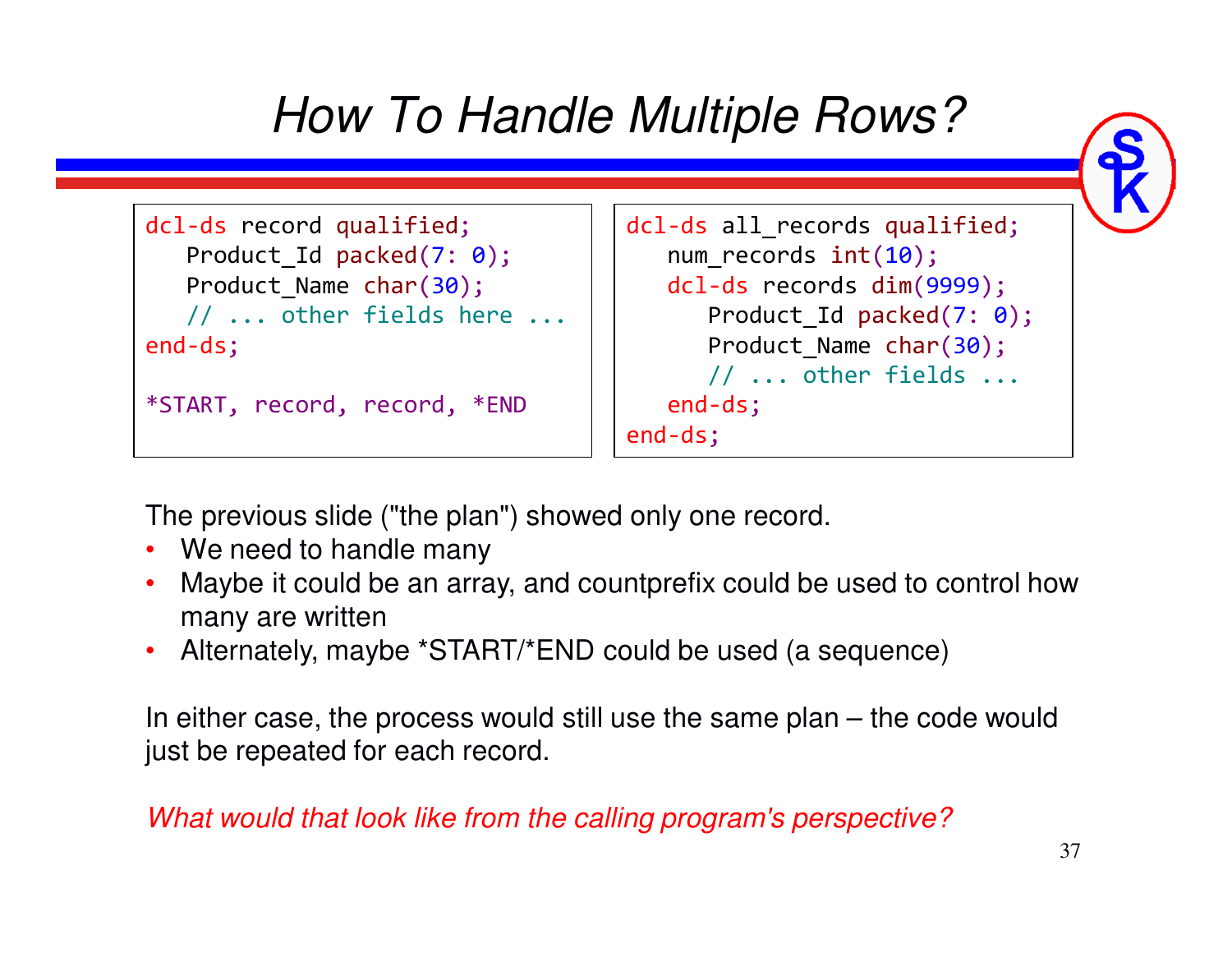

The previous slide ("the plan") showed only one record.

- We need to handle many
- Maybe it could be an array, and countprefix could be used to control how many are written
- Alternately, maybe \*START/\*END could be used (a sequence)

In either case, the process would still use the same plan – the code would just be repeated for each record.

#### *What would that look like from the calling program's perspective?*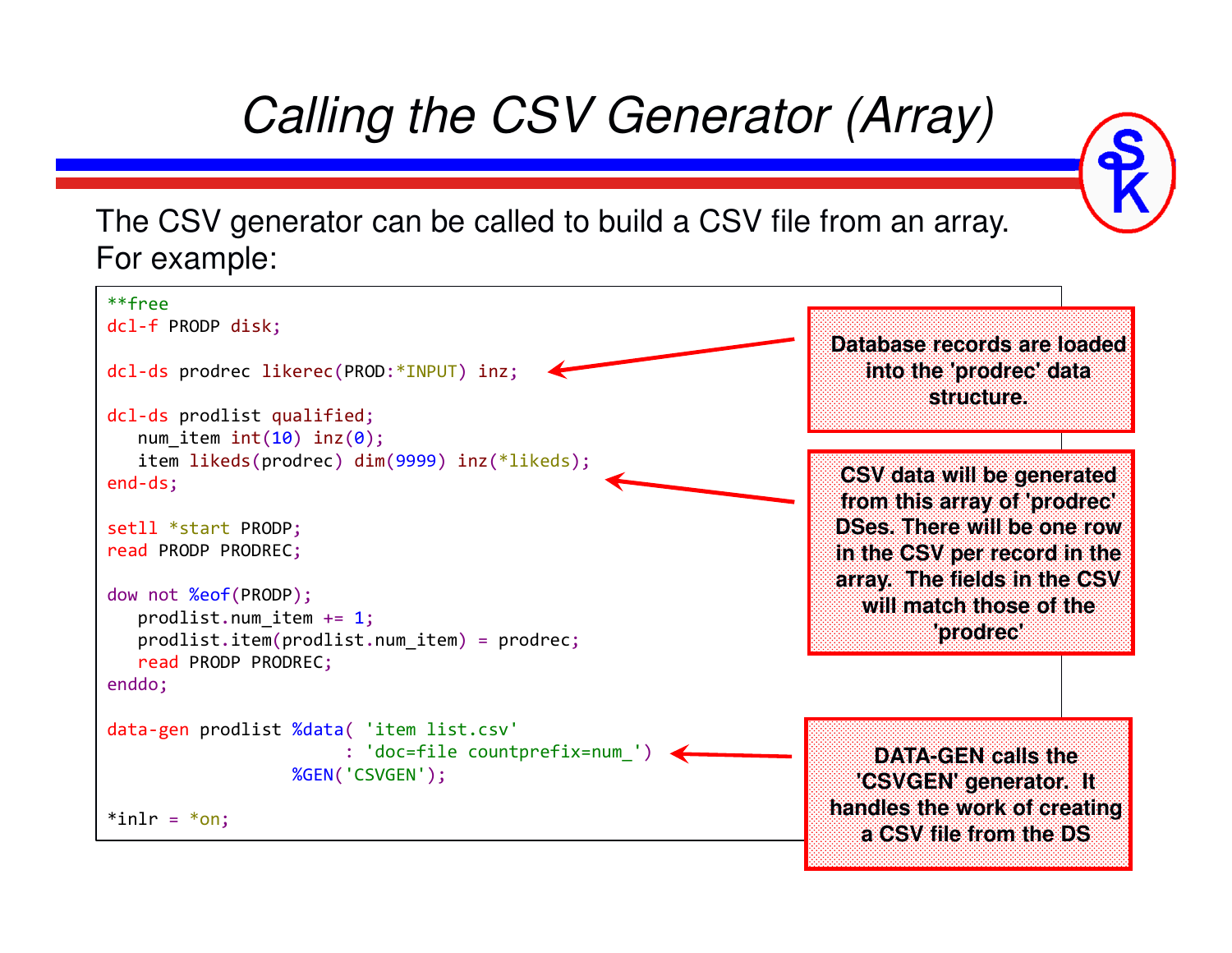



The CSV generator can be called to build a CSV file from an array. For example:

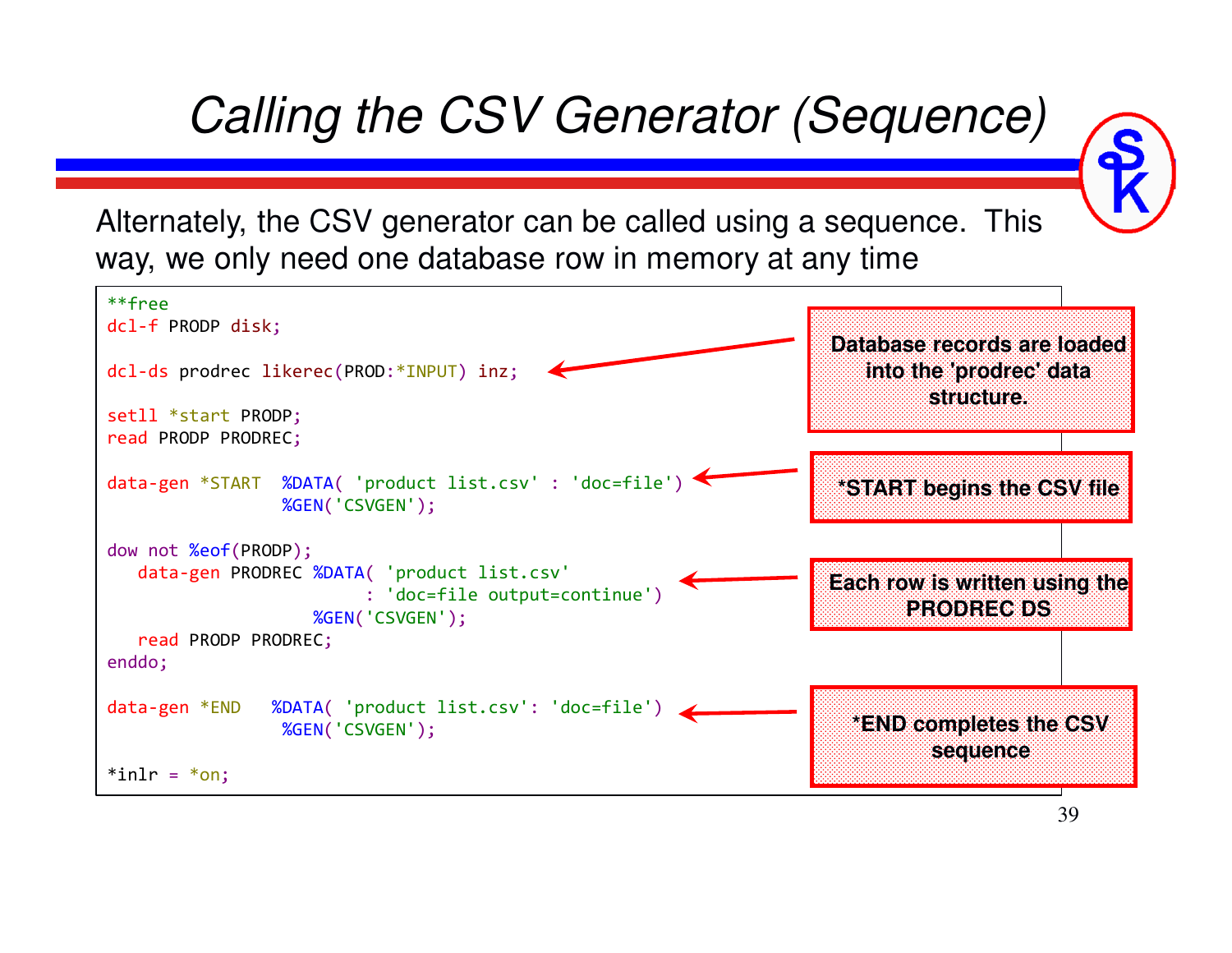*Calling the CSV Generator (Sequence)*

Alternately, the CSV generator can be called using a sequence. This way, we only need one database row in memory at any time

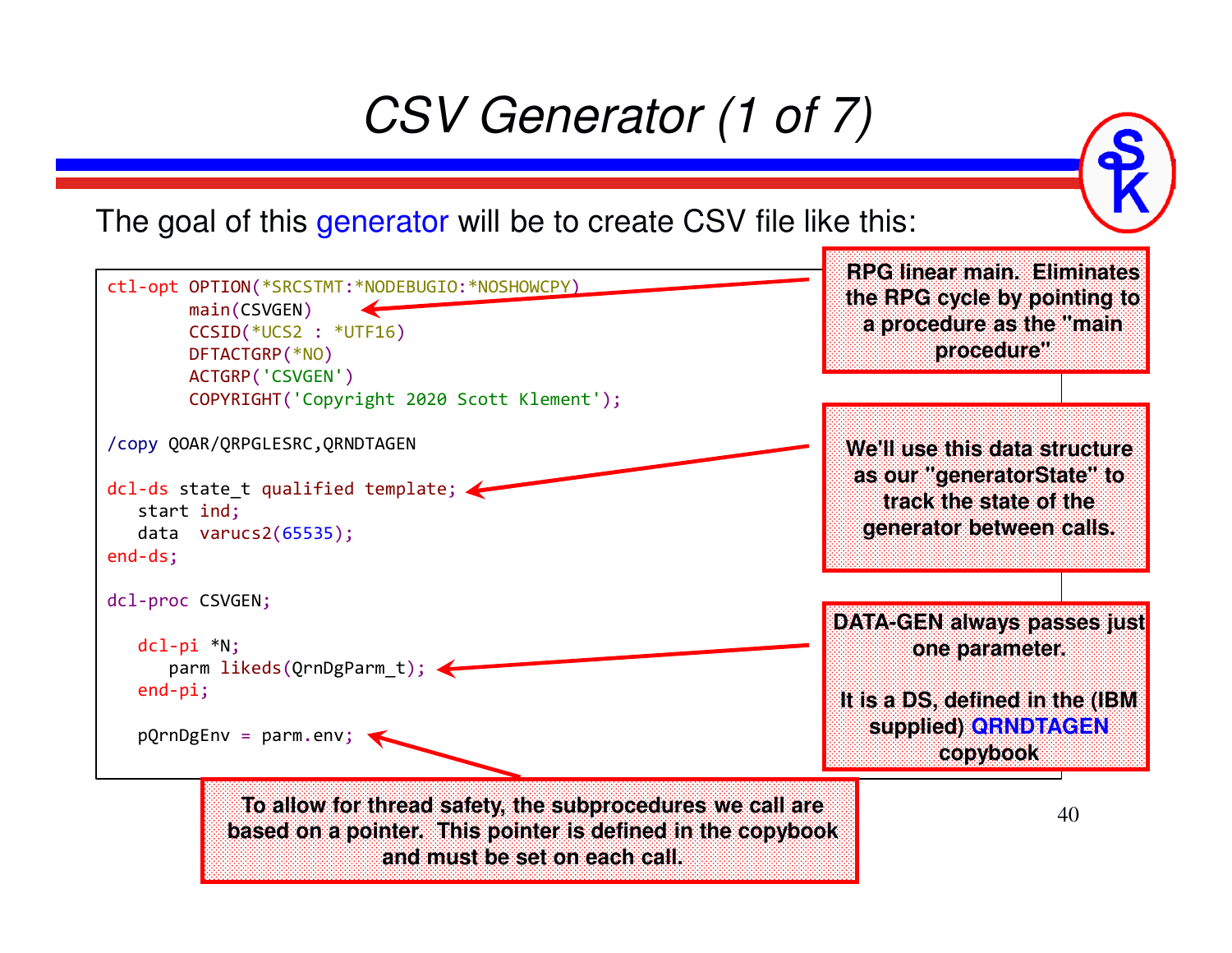# *CSV Generator (1 of 7)*

The goal of this generator will be to create CSV file like this:

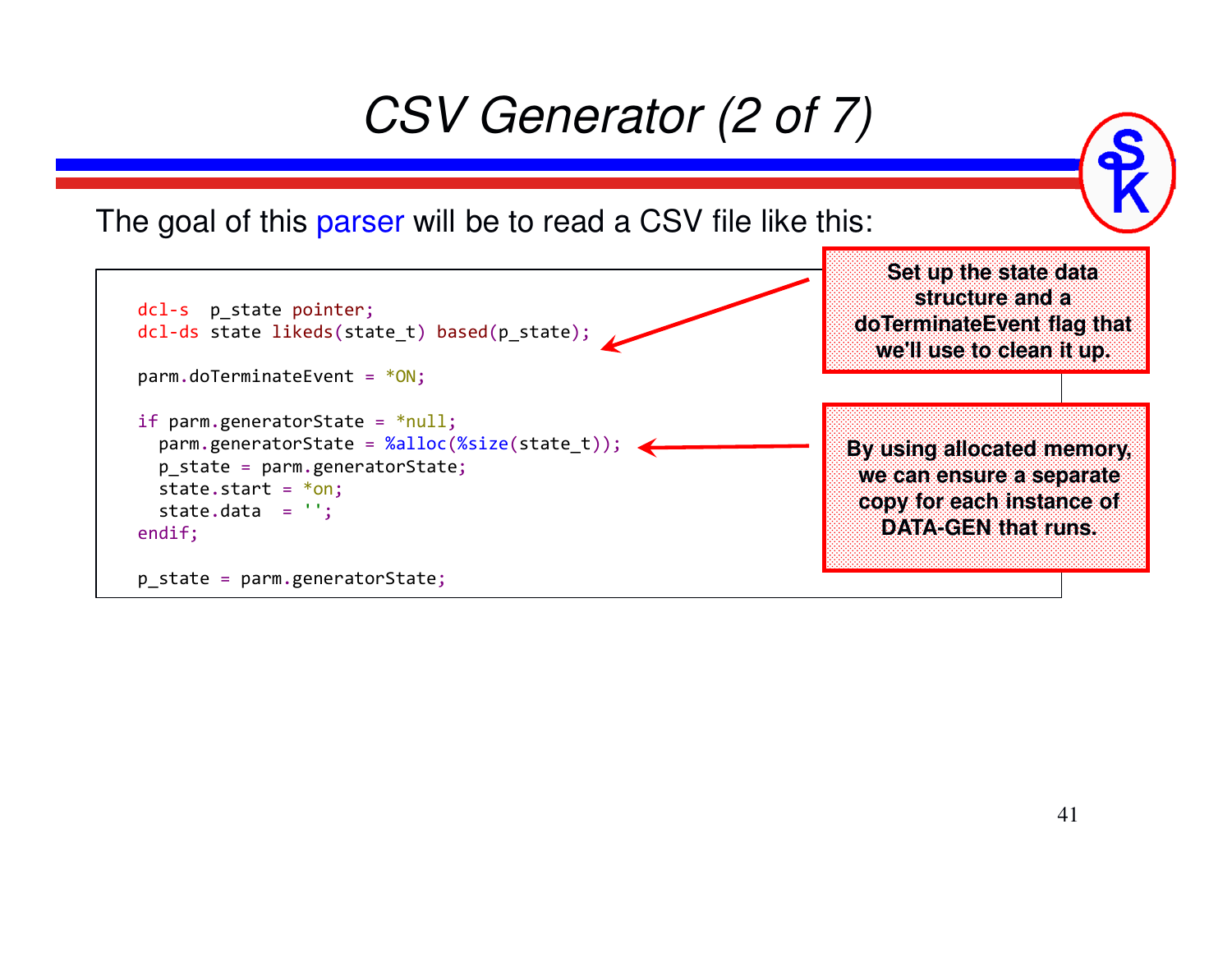### *CSV Generator (2 of 7)*

The goal of this <mark>parser</mark> will be to read a CSV file like this:

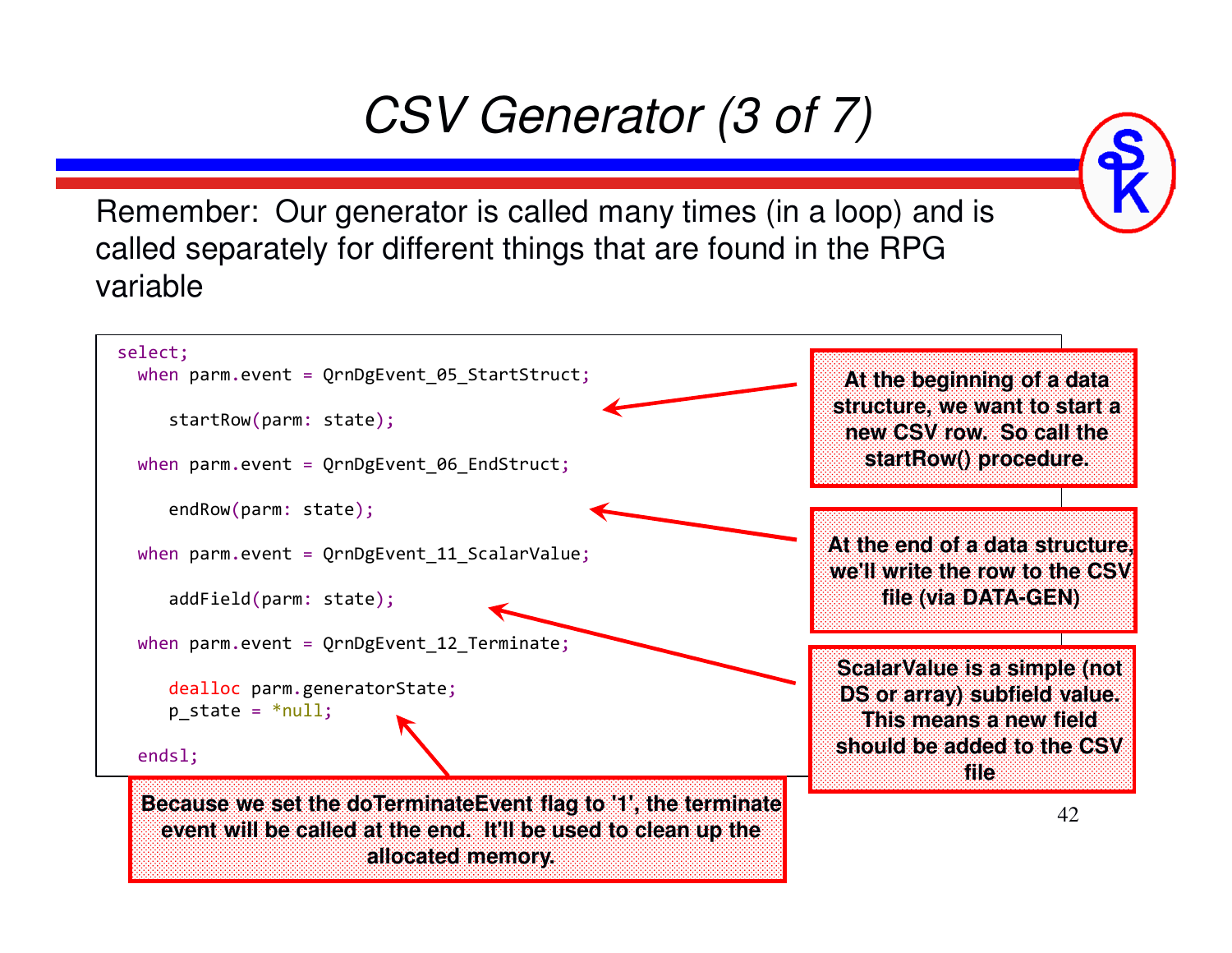### *CSV Generator (3 of 7)*

Remember: Our generator is called many times (in a loop) and is called separately for different things that are found in the RPG variable

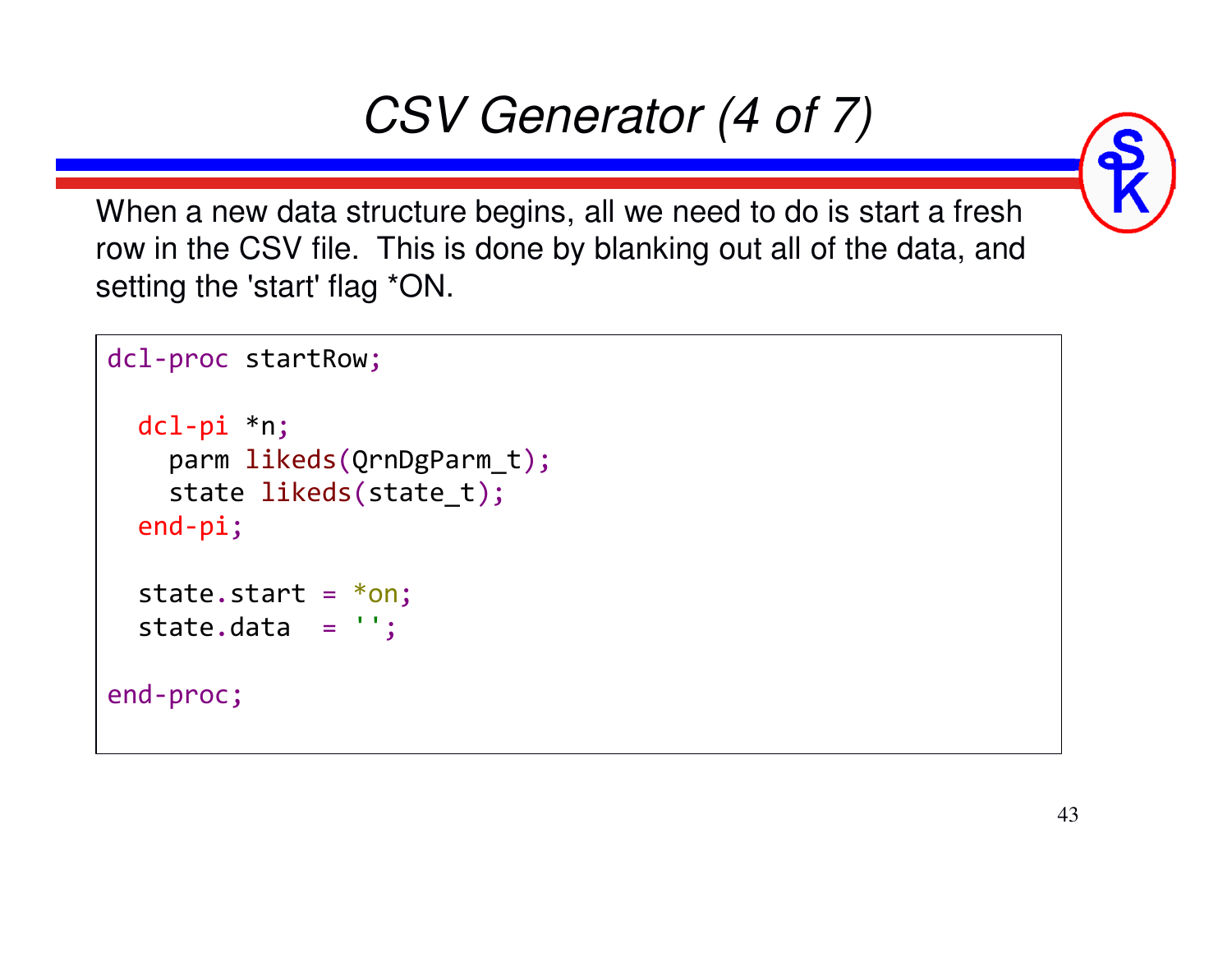# *CSV Generator (4 of 7)*

When a new data structure begins, all we need to do is start a fresh row in the CSV file. This is done by blanking out all of the data, and setting the 'start' flag \*ON.

```
dcl-proc startRow;
  dcl-pi *n;
    parm likeds
(QrnDgParm_t);state likeds(state_t);end-pi;state.start= *on;

state.data='';end-proc;
```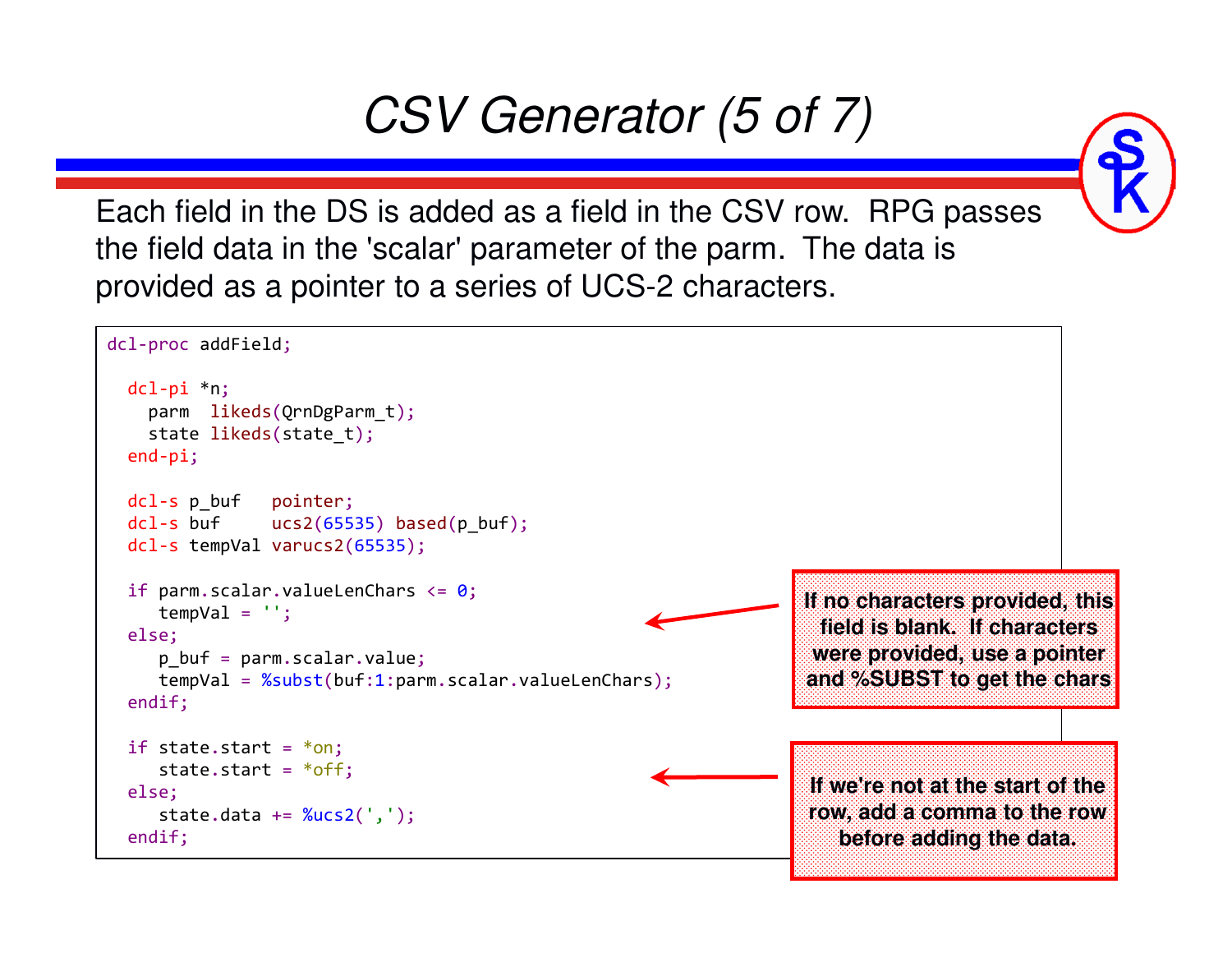## *CSV Generator (5 of 7)*

Each field in the DS is added as a field in the CSV row. RPG passes the field data in the 'scalar' parameter of the parm. The data is provided as a pointer to a series of UCS-2 characters.

![](_page_43_Figure_3.jpeg)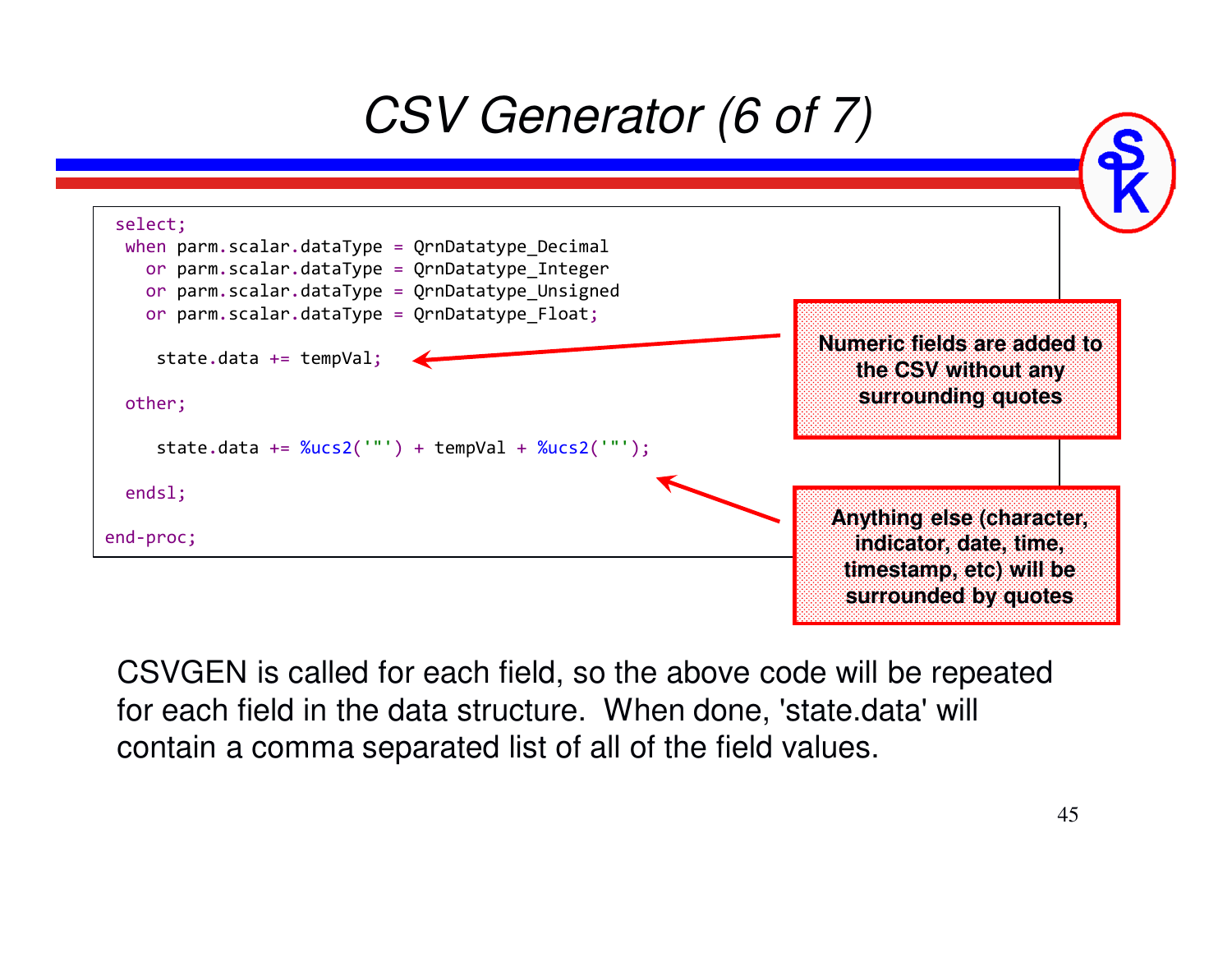## *CSV Generator (6 of 7)*

![](_page_44_Figure_1.jpeg)

CSVGEN is called for each field, so the above code will be repeated for each field in the data structure. When done, 'state.data' will contain a comma separated list of all of the field values.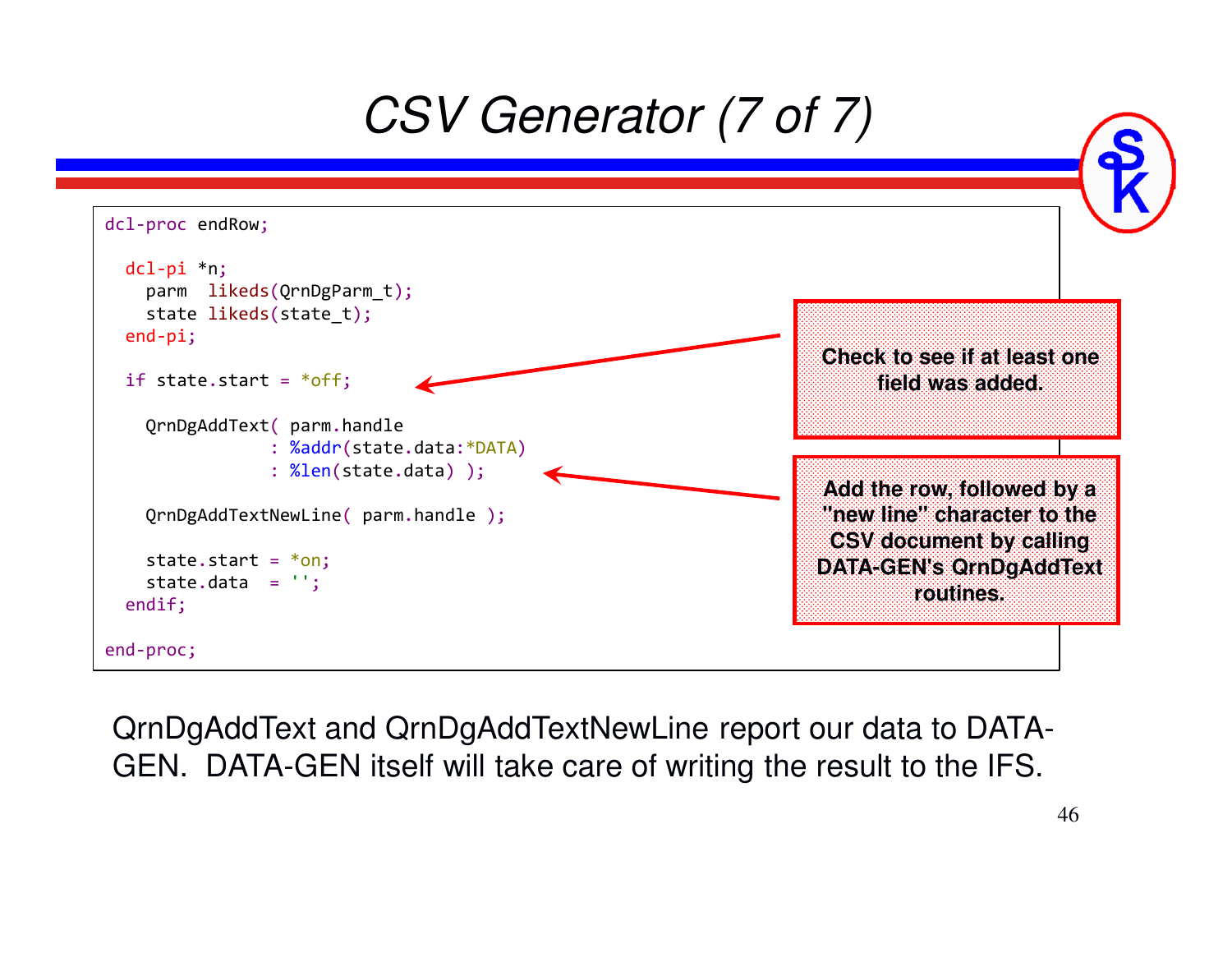![](_page_45_Picture_0.jpeg)

QrnDgAddText and QrnDgAddTextNewLine report our data to DATA-GEN. DATA-GEN itself will take care of writing the result to the IFS.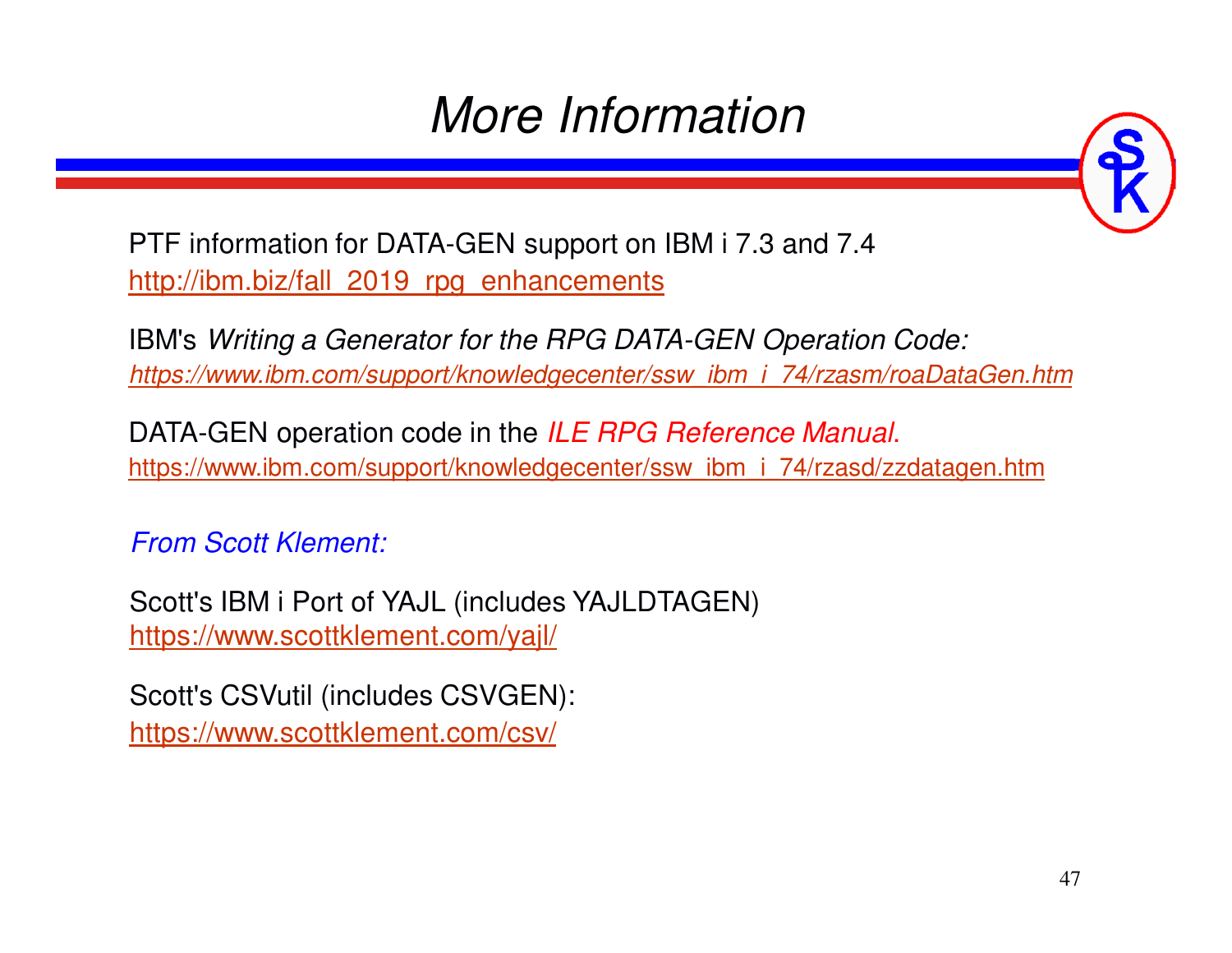### *More Information*

![](_page_46_Picture_1.jpeg)

PTF information for DATA-GEN support on IBM i 7.3 and 7.4http://ibm.biz/fall\_2019\_rpg\_enhancements

IBM's *Writing a Generator for the RPG DATA-GEN Operation Code:https://www.ibm.com/support/knowledgecenter/ssw\_ibm\_i\_74/rzasm/roaDataGen.htm*

DATA-GEN operation code in the *ILE RPG Reference Manual*.https://www.ibm.com/support/knowledgecenter/ssw\_ibm\_i\_74/rzasd/zzdatagen.htm

*From Scott Klement:*

Scott's IBM i Port of YAJL (includes YAJLDTAGEN) https://www.scottklement.com/yajl/

Scott's CSVutil (includes CSVGEN): https://www.scottklement.com/csv/